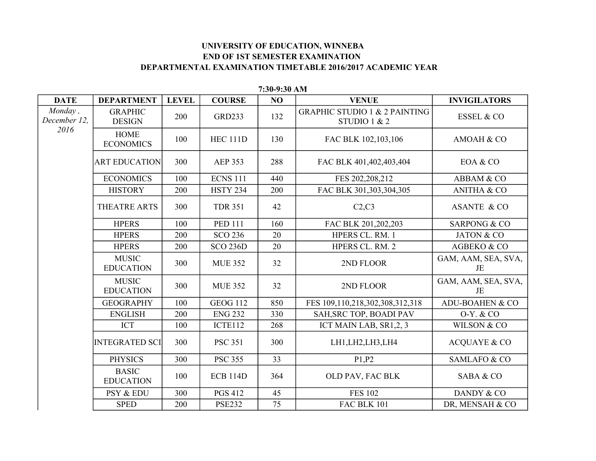## **UNIVERSITY OF EDUCATION, WINNEBA END OF 1ST SEMESTER EXAMINATION DEPARTMENTAL EXAMINATION TIMETABLE 2016/2017 ACADEMIC YEAR**

| <b>DATE</b>             | <b>DEPARTMENT</b>                | <b>LEVEL</b> | <b>COURSE</b>   | NO  | <b>VENUE</b>                                               | <b>INVIGILATORS</b>        |
|-------------------------|----------------------------------|--------------|-----------------|-----|------------------------------------------------------------|----------------------------|
| Monday,<br>December 12, | <b>GRAPHIC</b><br><b>DESIGN</b>  | 200          | <b>GRD233</b>   | 132 | <b>GRAPHIC STUDIO 1 &amp; 2 PAINTING</b><br>STUDIO 1 $& 2$ | <b>ESSEL &amp; CO</b>      |
| 2016                    | <b>HOME</b><br><b>ECONOMICS</b>  | 100          | <b>HEC 111D</b> | 130 | FAC BLK 102,103,106                                        | AMOAH & CO                 |
|                         | <b>ART EDUCATION</b>             | 300          | <b>AEP 353</b>  | 288 | FAC BLK 401,402,403,404                                    | EOA & CO                   |
|                         | <b>ECONOMICS</b>                 | 100          | <b>ECNS 111</b> | 440 | FES 202,208,212                                            | ABBAM & CO                 |
|                         | <b>HISTORY</b>                   | 200          | <b>HSTY 234</b> | 200 | FAC BLK 301,303,304,305                                    | <b>ANITHA &amp; CO</b>     |
|                         | THEATRE ARTS                     | 300          | <b>TDR 351</b>  | 42  | C2, C3                                                     | <b>ASANTE &amp; CO</b>     |
|                         | <b>HPERS</b>                     | 100          | <b>PED 111</b>  | 160 | FAC BLK 201,202,203                                        | <b>SARPONG &amp; CO</b>    |
|                         | <b>HPERS</b>                     | 200          | <b>SCO 236</b>  | 20  | HPERS CL. RM. 1                                            | <b>JATON &amp; CO</b>      |
|                         | <b>HPERS</b>                     | 200          | <b>SCO 236D</b> | 20  | HPERS CL. RM. 2                                            | AGBEKO & CO                |
|                         | <b>MUSIC</b><br><b>EDUCATION</b> | 300          | <b>MUE 352</b>  | 32  | 2ND FLOOR                                                  | GAM, AAM, SEA, SVA,<br>JE  |
|                         | <b>MUSIC</b><br><b>EDUCATION</b> | 300          | <b>MUE 352</b>  | 32  | 2ND FLOOR                                                  | GAM, AAM, SEA, SVA,<br>JE  |
|                         | <b>GEOGRAPHY</b>                 | 100          | <b>GEOG 112</b> | 850 | FES 109,110,218,302,308,312,318                            | <b>ADU-BOAHEN &amp; CO</b> |
|                         | <b>ENGLISH</b>                   | 200          | <b>ENG 232</b>  | 330 | SAH, SRC TOP, BOADI PAV                                    | 0-Y. & CO                  |
|                         | <b>ICT</b>                       | 100          | ICTE112         | 268 | ICT MAIN LAB, SR1,2, 3                                     | WILSON & CO                |
|                         | <b>INTEGRATED SCI</b>            | 300          | <b>PSC 351</b>  | 300 | LH1, LH2, LH3, LH4                                         | <b>ACQUAYE &amp; CO</b>    |
|                         | <b>PHYSICS</b>                   | 300          | <b>PSC 355</b>  | 33  | P1,P2                                                      | SAMLAFO & CO               |
|                         | <b>BASIC</b><br><b>EDUCATION</b> | 100          | <b>ECB 114D</b> | 364 | OLD PAV, FAC BLK                                           | SABA & CO                  |
|                         | PSY & EDU                        | 300          | <b>PGS 412</b>  | 45  | <b>FES 102</b>                                             | DANDY & CO                 |
|                         | <b>SPED</b>                      | 200          | <b>PSE232</b>   | 75  | FAC BLK 101                                                | DR, MENSAH & CO            |

**7:30-9:30 AM**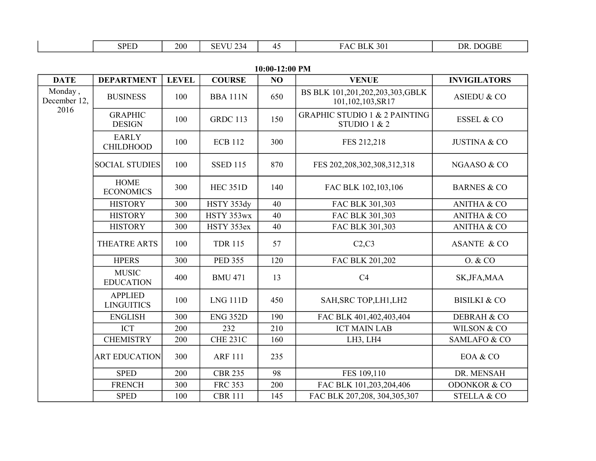| <b>DATE</b>             | <b>DEPARTMENT</b>                   | <b>LEVEL</b> | <b>COURSE</b>   | NO  | <b>VENUE</b>                                             | <b>INVIGILATORS</b>     |
|-------------------------|-------------------------------------|--------------|-----------------|-----|----------------------------------------------------------|-------------------------|
| Monday,<br>December 12, | <b>BUSINESS</b>                     | 100          | <b>BBA 111N</b> | 650 | BS BLK 101,201,202,203,303,GBLK<br>101,102,103,SR17      | ASIEDU & CO             |
| 2016                    | <b>GRAPHIC</b><br><b>DESIGN</b>     | 100          | <b>GRDC 113</b> | 150 | <b>GRAPHIC STUDIO 1 &amp; 2 PAINTING</b><br>STUDIO 1 & 2 | ESSEL & CO              |
|                         | <b>EARLY</b><br><b>CHILDHOOD</b>    | 100          | <b>ECB 112</b>  | 300 | FES 212,218                                              | <b>JUSTINA &amp; CO</b> |
|                         | <b>SOCIAL STUDIES</b>               | 100          | <b>SSED 115</b> | 870 | FES 202, 208, 302, 308, 312, 318                         | NGAASO & CO             |
|                         | <b>HOME</b><br><b>ECONOMICS</b>     | 300          | <b>HEC 351D</b> | 140 | FAC BLK 102,103,106                                      | <b>BARNES &amp; CO</b>  |
|                         | <b>HISTORY</b>                      | 300          | HSTY 353dy      | 40  | FAC BLK 301,303                                          | <b>ANITHA &amp; CO</b>  |
|                         | <b>HISTORY</b>                      | 300          | HSTY 353wx      | 40  | FAC BLK 301,303                                          | <b>ANITHA &amp; CO</b>  |
|                         | <b>HISTORY</b>                      | 300          | HSTY 353ex      | 40  | FAC BLK 301,303                                          | <b>ANITHA &amp; CO</b>  |
|                         | THEATRE ARTS                        | 100          | <b>TDR 115</b>  | 57  | C2, C3                                                   | <b>ASANTE &amp; CO</b>  |
|                         | <b>HPERS</b>                        | 300          | <b>PED 355</b>  | 120 | FAC BLK 201,202                                          | 0. & CO                 |
|                         | <b>MUSIC</b><br><b>EDUCATION</b>    | 400          | <b>BMU 471</b>  | 13  | C4                                                       | SK, JFA, MAA            |
|                         | <b>APPLIED</b><br><b>LINGUITICS</b> | 100          | <b>LNG 111D</b> | 450 | SAH, SRC TOP, LH1, LH2                                   | <b>BISILKI &amp; CO</b> |
|                         | <b>ENGLISH</b>                      | 300          | <b>ENG 352D</b> | 190 | FAC BLK 401,402,403,404                                  | <b>DEBRAH &amp; CO</b>  |
|                         | <b>ICT</b>                          | 200          | 232             | 210 | <b>ICT MAIN LAB</b>                                      | <b>WILSON &amp; CO</b>  |
|                         | <b>CHEMISTRY</b>                    | 200          | <b>CHE 231C</b> | 160 | LH3, LH4                                                 | SAMLAFO & CO            |
|                         | <b>ART EDUCATION</b>                | 300          | <b>ARF 111</b>  | 235 |                                                          | EOA & CO                |
|                         | <b>SPED</b>                         | 200          | <b>CBR 235</b>  | 98  | FES 109,110                                              | DR. MENSAH              |
|                         | <b>FRENCH</b>                       | 300          | <b>FRC 353</b>  | 200 | FAC BLK 101,203,204,406                                  | <b>ODONKOR &amp; CO</b> |
|                         | <b>SPED</b>                         | 100          | <b>CBR 111</b>  | 145 | FAC BLK 207,208, 304,305,307                             | <b>STELLA &amp; CO</b>  |

**10:00-12:00 PM**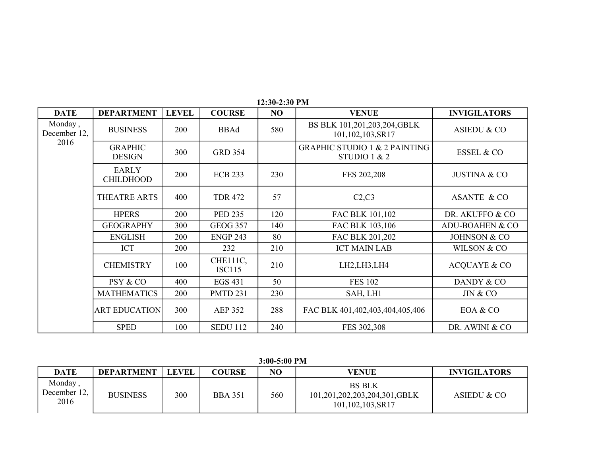| <b>DATE</b>             | <b>DEPARTMENT</b>                | <b>LEVEL</b> | <b>COURSE</b>             | NO  | <b>VENUE</b>                                             | <b>INVIGILATORS</b>        |
|-------------------------|----------------------------------|--------------|---------------------------|-----|----------------------------------------------------------|----------------------------|
| Monday,<br>December 12, | <b>BUSINESS</b>                  | 200          | <b>BBAd</b>               | 580 | BS BLK 101,201,203,204,GBLK<br>101,102,103,SR17          | ASIEDU & CO                |
| 2016                    | <b>GRAPHIC</b><br><b>DESIGN</b>  | 300          | <b>GRD 354</b>            |     | <b>GRAPHIC STUDIO 1 &amp; 2 PAINTING</b><br>STUDIO 1 & 2 | <b>ESSEL &amp; CO</b>      |
|                         | <b>EARLY</b><br><b>CHILDHOOD</b> | 200          | <b>ECB 233</b>            | 230 | FES 202,208                                              | <b>JUSTINA &amp; CO</b>    |
|                         | THEATRE ARTS                     | 400          | <b>TDR 472</b>            | 57  | C2, C3                                                   | <b>ASANTE &amp; CO</b>     |
|                         | <b>HPERS</b>                     | 200          | <b>PED 235</b>            | 120 | FAC BLK 101,102                                          | DR. AKUFFO & CO            |
|                         | <b>GEOGRAPHY</b>                 | 300          | <b>GEOG 357</b>           | 140 | FAC BLK 103,106                                          | <b>ADU-BOAHEN &amp; CO</b> |
|                         | <b>ENGLISH</b>                   | 200          | <b>ENGP 243</b>           | 80  | FAC BLK 201,202                                          | JOHNSON & CO               |
|                         | <b>ICT</b>                       | 200          | 232                       | 210 | <b>ICT MAIN LAB</b>                                      | WILSON & CO                |
|                         | <b>CHEMISTRY</b>                 | 100          | CHE111C,<br><b>ISC115</b> | 210 | LH2,LH3,LH4                                              | <b>ACQUAYE &amp; CO</b>    |
|                         | PSY & CO                         | 400          | <b>EGS 431</b>            | 50  | <b>FES 102</b>                                           | DANDY & CO                 |
|                         | <b>MATHEMATICS</b>               | 200          | <b>PMTD 231</b>           | 230 | SAH, LH1                                                 | JIN & CO                   |
|                         | <b>ART EDUCATION</b>             | 300          | <b>AEP 352</b>            | 288 | FAC BLK 401,402,403,404,405,406                          | EOA & CO                   |
|                         | <b>SPED</b>                      | 100          | <b>SEDU 112</b>           | 240 | FES 302,308                                              | DR. AWINI & CO             |

**12:30-2:30 PM**

**3:00-5:00 PM**

| <b>DATE</b>                    | <b>DEPARTMENT</b> | <b>LEVEL</b> | <b>COURSE</b>  | NO  | VENUE                                                             | <b>INVIGILATORS</b> |
|--------------------------------|-------------------|--------------|----------------|-----|-------------------------------------------------------------------|---------------------|
| Monday<br>December 12,<br>2016 | <b>BUSINESS</b>   | 300          | <b>BBA 351</b> | 560 | <b>BS BLK</b><br>101,201,202,203,204,301,GBLK<br>101,102,103,SR17 | ASIEDU & CO         |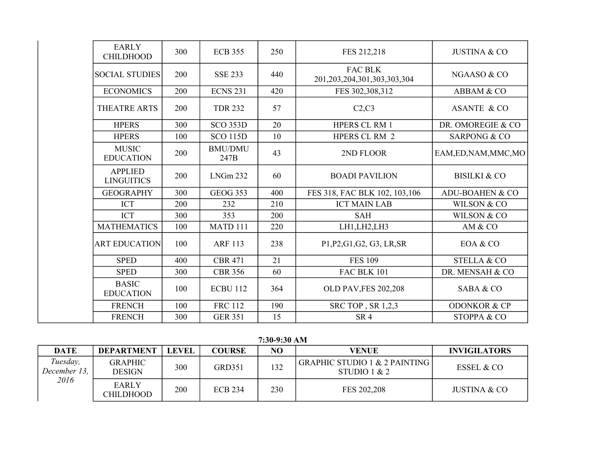| <b>EARLY</b><br><b>CHILDHOOD</b>    | 300 | <b>ECB 355</b>         | 250 | FES 212,218                                         | <b>JUSTINA &amp; CO</b>    |
|-------------------------------------|-----|------------------------|-----|-----------------------------------------------------|----------------------------|
| <b>SOCIAL STUDIES</b>               | 200 | <b>SSE 233</b>         | 440 | <b>FAC BLK</b><br>201, 203, 204, 301, 303, 303, 304 | NGAASO & CO                |
| <b>ECONOMICS</b>                    | 200 | <b>ECNS 231</b>        | 420 | FES 302,308,312                                     | ABBAM & CO                 |
| <b>THEATRE ARTS</b>                 | 200 | <b>TDR 232</b>         | 57  | C2, C3                                              | <b>ASANTE &amp; CO</b>     |
| <b>HPERS</b>                        | 300 | <b>SCO 353D</b>        | 20  | <b>HPERS CL RM 1</b>                                | DR. OMOREGIE & CO          |
| <b>HPERS</b>                        | 100 | <b>SCO 115D</b>        | 10  | <b>HPERS CL RM 2</b>                                | <b>SARPONG &amp; CO</b>    |
| <b>MUSIC</b><br><b>EDUCATION</b>    | 200 | <b>BMU/DMU</b><br>247B | 43  | 2ND FLOOR                                           | EAM, ED, NAM, MMC, MO      |
| <b>APPLIED</b><br><b>LINGUITICS</b> | 200 | LNGm 232               | 60  | <b>BOADI PAVILION</b>                               | <b>BISILKI &amp; CO</b>    |
| <b>GEOGRAPHY</b>                    | 300 | <b>GEOG 353</b>        | 400 | FES 318, FAC BLK 102, 103,106                       | <b>ADU-BOAHEN &amp; CO</b> |
| <b>ICT</b>                          | 200 | 232                    | 210 | <b>ICT MAIN LAB</b>                                 | WILSON & CO                |
| <b>ICT</b>                          | 300 | 353                    | 200 | <b>SAH</b>                                          | WILSON & CO                |
| <b>MATHEMATICS</b>                  | 100 | MATD <sub>111</sub>    | 220 | LH1,LH2,LH3                                         | AM & CO                    |
| <b>ART EDUCATION</b>                | 100 | <b>ARF 113</b>         | 238 | P1, P2, G1, G2, G3, LR, SR                          | EOA & CO                   |
| <b>SPED</b>                         | 400 | <b>CBR 471</b>         | 21  | <b>FES 109</b>                                      | <b>STELLA &amp; CO</b>     |
| <b>SPED</b>                         | 300 | <b>CBR 356</b>         | 60  | <b>FAC BLK 101</b>                                  | DR. MENSAH & CO            |
| <b>BASIC</b><br><b>EDUCATION</b>    | 100 | <b>ECBU 112</b>        | 364 | <b>OLD PAV, FES 202, 208</b>                        | SABA & CO                  |
| <b>FRENCH</b>                       | 100 | <b>FRC 112</b>         | 190 | SRC TOP, SR 1,2,3                                   | <b>ODONKOR &amp; CP</b>    |
| <b>FRENCH</b>                       | 300 | <b>GER 351</b>         | 15  | SR <sub>4</sub>                                     | STOPPA & CO                |

**7:30-9:30 AM**

| <b>DATE</b>              | <b>DEPARTMENT</b>                | <b>LEVEL</b> | <b>COURSE</b>  | N <sub>O</sub> | <b>VENUE</b>                                               | <b>INVIGILATORS</b> |
|--------------------------|----------------------------------|--------------|----------------|----------------|------------------------------------------------------------|---------------------|
| Tuesday,<br>December 13, | <b>GRAPHIC</b><br><b>DESIGN</b>  | 300          | <b>GRD351</b>  | 132            | <b>GRAPHIC STUDIO 1 &amp; 2 PAINTING</b><br>STUDIO 1 $& 2$ | ESSEL & CO          |
| 2016                     | <b>EARLY</b><br><b>CHILDHOOD</b> | 200          | <b>ECB 234</b> | 230            | FES 202,208                                                | JUSTINA & CO        |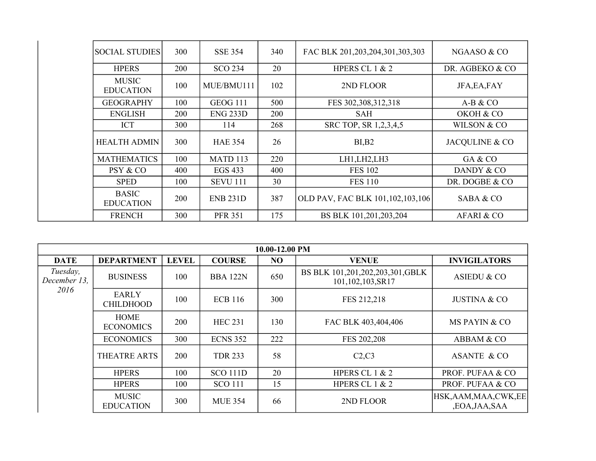| <b>SOCIAL STUDIES</b>            | 300 | <b>SSE 354</b>  | 340 | FAC BLK 201,203,204,301,303,303     | NGAASO & CO     |
|----------------------------------|-----|-----------------|-----|-------------------------------------|-----------------|
| <b>HPERS</b>                     | 200 | <b>SCO 234</b>  | 20  | HPERS CL $1 & 2$                    | DR. AGBEKO & CO |
| <b>MUSIC</b><br><b>EDUCATION</b> | 100 | MUE/BMU111      | 102 | 2ND FLOOR                           | JFA, EA, FAY    |
| <b>GEOGRAPHY</b>                 | 100 | GEOG 111        | 500 | FES 302, 308, 312, 318              | $A-B & CO$      |
| <b>ENGLISH</b>                   | 200 | $ENG$ 233D      | 200 | <b>SAH</b>                          | OKOH & CO       |
| <b>ICT</b>                       | 300 | 114             | 268 | SRC TOP, SR 1,2,3,4,5               | WILSON & CO     |
| <b>HEALTH ADMIN</b>              | 300 | <b>HAE 354</b>  | 26  | $BI$ <sub>B2</sub>                  | JACQULINE & CO  |
| <b>MATHEMATICS</b>               | 100 | MATD 113        | 220 | LH1, LH2, LH3                       | GA & CO         |
| PSY & CO                         | 400 | EGS 433         | 400 | <b>FES 102</b>                      | DANDY & CO      |
| <b>SPED</b>                      | 100 | <b>SEVU 111</b> | 30  | <b>FES 110</b>                      | DR. DOGBE & CO  |
| <b>BASIC</b><br><b>EDUCATION</b> | 200 | <b>ENB 231D</b> | 387 | OLD PAV, FAC BLK 101, 102, 103, 106 | SABA & CO       |
| <b>FRENCH</b>                    | 300 | <b>PFR 351</b>  | 175 | BS BLK 101,201,203,204              | AFARI & CO      |

|                          | 10.00-12.00 PM                   |              |                 |     |                                                     |                                        |  |  |  |  |  |
|--------------------------|----------------------------------|--------------|-----------------|-----|-----------------------------------------------------|----------------------------------------|--|--|--|--|--|
| <b>DATE</b>              | <b>DEPARTMENT</b>                | <b>LEVEL</b> | <b>COURSE</b>   | NO  | <b>VENUE</b>                                        | <b>INVIGILATORS</b>                    |  |  |  |  |  |
| Tuesday,<br>December 13. | <b>BUSINESS</b>                  | 100          | <b>BBA 122N</b> | 650 | BS BLK 101,201,202,203,301,GBLK<br>101,102,103,SR17 | <b>ASIEDU &amp; CO</b>                 |  |  |  |  |  |
| 2016                     | <b>EARLY</b><br><b>CHILDHOOD</b> | 100          | <b>ECB</b> 116  | 300 | FES 212,218                                         | <b>JUSTINA &amp; CO</b>                |  |  |  |  |  |
|                          | <b>HOME</b><br><b>ECONOMICS</b>  | 200          | <b>HEC 231</b>  | 130 | FAC BLK 403,404,406                                 | MS PAYIN & CO                          |  |  |  |  |  |
|                          | <b>ECONOMICS</b>                 | 300          | <b>ECNS 352</b> | 222 | FES 202,208                                         | ABBAM & CO                             |  |  |  |  |  |
|                          | <b>THEATRE ARTS</b>              | 200          | <b>TDR 233</b>  | 58  | C2,C3                                               | ASANTE & CO                            |  |  |  |  |  |
|                          | <b>HPERS</b>                     | 100          | <b>SCO 111D</b> | 20  | HPERS CL $1 & 2$                                    | PROF. PUFAA & CO                       |  |  |  |  |  |
|                          | <b>HPERS</b>                     | 100          | <b>SCO 111</b>  | 15  | HPERS CL $1 & 2$                                    | PROF. PUFAA & CO                       |  |  |  |  |  |
|                          | <b>MUSIC</b><br><b>EDUCATION</b> | 300          | <b>MUE 354</b>  | 66  | 2ND FLOOR                                           | HSK, AAM, MAA, CWK, EE<br>,EOA,JAA,SAA |  |  |  |  |  |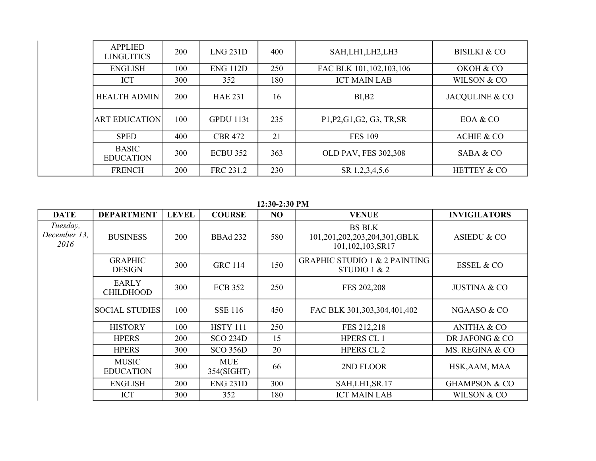| <b>APPLIED</b><br><b>LINGUITICS</b> | 200        | LNG 231D        | 400 | SAH, LH1, LH2, LH3         | BISILKI & CO          |
|-------------------------------------|------------|-----------------|-----|----------------------------|-----------------------|
| <b>ENGLISH</b>                      | 100        | <b>ENG 112D</b> | 250 | FAC BLK 101, 102, 103, 106 | OKOH & CO             |
| <b>ICT</b>                          | 300        | 352             | 180 | <b>ICT MAIN LAB</b>        | WILSON & CO           |
| HEALTH ADMIN                        | <b>200</b> | <b>HAE 231</b>  | 16  | BI, B2                     | JACQULINE & CO        |
| <b>ART EDUCATION</b>                | 100        | GPDU113t        | 235 | P1, P2, G1, G2, G3, TR, SR | EOA & CO              |
| <b>SPED</b>                         | 400        | <b>CBR 472</b>  | 21  | <b>FES 109</b>             | <b>ACHIE &amp; CO</b> |
| <b>BASIC</b><br><b>EDUCATION</b>    | 300        | <b>ECBU 352</b> | 363 | OLD PAV, FES 302,308       | SABA & CO             |
| <b>FRENCH</b>                       | 200        | FRC 231.2       | 230 | SR 1,2,3,4,5,6             | HETTEY & CO           |

**12:30-2:30 PM**

| <b>DATE</b>                      | <b>DEPARTMENT</b>                | <b>LEVEL</b> | <b>COURSE</b>            | N <sub>O</sub> | <b>VENUE</b>                                                      | <b>INVIGILATORS</b>      |
|----------------------------------|----------------------------------|--------------|--------------------------|----------------|-------------------------------------------------------------------|--------------------------|
| Tuesday,<br>December 13.<br>2016 | <b>BUSINESS</b>                  | 200          | <b>BBAd 232</b>          | 580            | <b>BS BLK</b><br>101,201,202,203,204,301,GBLK<br>101,102,103,SR17 | <b>ASIEDU &amp; CO</b>   |
|                                  | <b>GRAPHIC</b><br><b>DESIGN</b>  | 300          | <b>GRC 114</b>           | 150            | <b>GRAPHIC STUDIO 1 &amp; 2 PAINTING</b><br>STUDIO $1 & 2$        | <b>ESSEL &amp; CO</b>    |
|                                  | <b>EARLY</b><br><b>CHILDHOOD</b> | 300          | <b>ECB 352</b>           | 250            | FES 202,208                                                       | <b>JUSTINA &amp; CO</b>  |
|                                  | <b>SOCIAL STUDIES</b>            | 100          | <b>SSE 116</b>           | 450            | FAC BLK 301,303,304,401,402                                       | NGAASO & CO              |
|                                  | <b>HISTORY</b>                   | 100          | <b>HSTY 111</b>          | 250            | FES 212,218                                                       | <b>ANITHA &amp; CO</b>   |
|                                  | <b>HPERS</b>                     | 200          | <b>SCO 234D</b>          | 15             | <b>HPERS CL1</b>                                                  | DR JAFONG & CO           |
|                                  | <b>HPERS</b>                     | 300          | <b>SCO 356D</b>          | 20             | <b>HPERS CL 2</b>                                                 | MS. REGINA & CO          |
|                                  | <b>MUSIC</b><br><b>EDUCATION</b> | 300          | <b>MUE</b><br>354(SIGHT) | 66             | 2ND FLOOR                                                         | HSK, AAM, MAA            |
|                                  | <b>ENGLISH</b>                   | 200          | <b>ENG 231D</b>          | 300            | SAH,LH1,SR.17                                                     | <b>GHAMPSON &amp; CO</b> |
|                                  | <b>ICT</b>                       | 300          | 352                      | 180            | <b>ICT MAIN LAB</b>                                               | WILSON & CO              |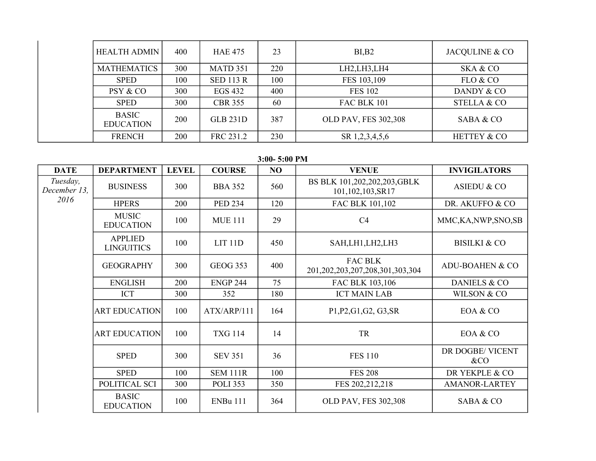| <b>HEALTH ADMIN</b>              | 400 | <b>HAE 475</b>   | 23  | BI, B2               | JACQULINE & CO         |
|----------------------------------|-----|------------------|-----|----------------------|------------------------|
| <b>MATHEMATICS</b>               | 300 | MATD 351         | 220 | LH2,LH3,LH4          | SKA & CO               |
| <b>SPED</b>                      | 100 | <b>SED 113 R</b> | 100 | FES 103,109          | FLO & CO               |
| PSY & CO                         | 300 | EGS 432          | 400 | <b>FES 102</b>       | DANDY & CO             |
| <b>SPED</b>                      | 300 | <b>CBR 355</b>   | 60  | FAC BLK 101          | <b>STELLA &amp; CO</b> |
| <b>BASIC</b><br><b>EDUCATION</b> | 200 | <b>GLB 231D</b>  | 387 | OLD PAV, FES 302,308 | SABA & CO              |
| <b>FRENCH</b>                    | 200 | FRC 231.2        | 230 | SR 1,2,3,4,5,6       | <b>HETTEY &amp; CO</b> |

## **3:00- 5:00 PM**

| <b>DATE</b>              | <b>DEPARTMENT</b>                   | <b>LEVEL</b> | <b>COURSE</b>   | NO  | <b>VENUE</b>                                             | <b>INVIGILATORS</b>        |
|--------------------------|-------------------------------------|--------------|-----------------|-----|----------------------------------------------------------|----------------------------|
| Tuesday,<br>December 13, | <b>BUSINESS</b>                     | 300          | <b>BBA 352</b>  | 560 | BS BLK 101,202,202,203, GBLK<br>101,102,103,SR17         | ASIEDU & CO                |
| 2016                     | <b>HPERS</b>                        | 200          | <b>PED 234</b>  | 120 | FAC BLK 101,102                                          | DR. AKUFFO & CO            |
|                          | <b>MUSIC</b><br><b>EDUCATION</b>    | 100          | <b>MUE 111</b>  | 29  | C <sub>4</sub>                                           | MMC, KA, NWP, SNO, SB      |
|                          | <b>APPLIED</b><br><b>LINGUITICS</b> | 100          | $LIT$ 11 $D$    | 450 | SAH,LH1,LH2,LH3                                          | <b>BISILKI &amp; CO</b>    |
|                          | <b>GEOGRAPHY</b>                    | 300          | <b>GEOG 353</b> | 400 | <b>FAC BLK</b><br>201, 202, 203, 207, 208, 301, 303, 304 | <b>ADU-BOAHEN &amp; CO</b> |
|                          | <b>ENGLISH</b>                      | 200          | <b>ENGP 244</b> | 75  | FAC BLK 103,106                                          | <b>DANIELS &amp; CO</b>    |
|                          | <b>ICT</b>                          | 300          | 352             | 180 | <b>ICT MAIN LAB</b>                                      | WILSON & CO                |
|                          | <b>ART EDUCATION</b>                | 100          | ATX/ARP/111     | 164 | P1, P2, G1, G2, G3, SR                                   | EOA & CO                   |
|                          | <b>ART EDUCATION</b>                | 100          | <b>TXG 114</b>  | 14  | TR                                                       | EOA & CO                   |
|                          | <b>SPED</b>                         | 300          | <b>SEV 351</b>  | 36  | <b>FES 110</b>                                           | DR DOGBE/ VICENT<br>&CO    |
|                          | <b>SPED</b>                         | 100          | <b>SEM 111R</b> | 100 | <b>FES 208</b>                                           | DR YEKPLE & CO             |
|                          | POLITICAL SCI                       | 300          | <b>POLI 353</b> | 350 | FES 202,212,218                                          | <b>AMANOR-LARTEY</b>       |
|                          | <b>BASIC</b><br><b>EDUCATION</b>    | 100          | <b>ENBu 111</b> | 364 | OLD PAV, FES 302,308                                     | SABA & CO                  |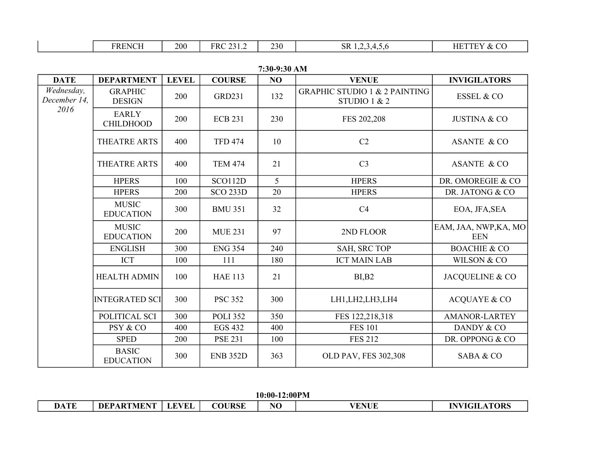|  | ∢N€<br>NЕ<br>. | 200 | FR <sub>0</sub><br>---- | 230<br>∠⊃∪ | SК | --<br>НF<br>$\cdots$ |
|--|----------------|-----|-------------------------|------------|----|----------------------|
|--|----------------|-----|-------------------------|------------|----|----------------------|

| <b>DATE</b>                | <b>DEPARTMENT</b>                | <b>LEVEL</b> | <b>COURSE</b>   | N <sub>O</sub> | <b>VENUE</b>                                             | <b>INVIGILATORS</b>                 |
|----------------------------|----------------------------------|--------------|-----------------|----------------|----------------------------------------------------------|-------------------------------------|
| Wednesday,<br>December 14, | <b>GRAPHIC</b><br><b>DESIGN</b>  | 200          | <b>GRD231</b>   | 132            | <b>GRAPHIC STUDIO 1 &amp; 2 PAINTING</b><br>STUDIO 1 & 2 | ESSEL & CO                          |
| 2016                       | <b>EARLY</b><br><b>CHILDHOOD</b> | 200          | <b>ECB 231</b>  | 230            | FES 202,208                                              | <b>JUSTINA &amp; CO</b>             |
|                            | THEATRE ARTS                     | 400          | <b>TFD 474</b>  | 10             | C2                                                       | <b>ASANTE &amp; CO</b>              |
|                            | THEATRE ARTS                     | 400          | <b>TEM 474</b>  | 21             | C <sub>3</sub>                                           | <b>ASANTE &amp; CO</b>              |
|                            | <b>HPERS</b>                     | 100          | <b>SCO112D</b>  | 5              | <b>HPERS</b>                                             | DR. OMOREGIE & CO                   |
|                            | <b>HPERS</b>                     | 200          | <b>SCO 233D</b> | 20             | <b>HPERS</b>                                             | DR. JATONG & CO                     |
|                            | <b>MUSIC</b><br><b>EDUCATION</b> | 300          | <b>BMU 351</b>  | 32             | C <sub>4</sub>                                           | EOA, JFA, SEA                       |
|                            | <b>MUSIC</b><br><b>EDUCATION</b> | 200          | <b>MUE 231</b>  | 97             | 2ND FLOOR                                                | EAM, JAA, NWP, KA, MO<br><b>EEN</b> |
|                            | <b>ENGLISH</b>                   | 300          | <b>ENG 354</b>  | 240            | SAH, SRC TOP                                             | <b>BOACHIE &amp; CO</b>             |
|                            | <b>ICT</b>                       | 100          | 111             | 180            | <b>ICT MAIN LAB</b>                                      | WILSON & CO                         |
|                            | <b>HEALTH ADMIN</b>              | 100          | <b>HAE 113</b>  | 21             | BI, B2                                                   | JACQUELINE & CO                     |
|                            | <b>INTEGRATED SCI</b>            | 300          | <b>PSC 352</b>  | 300            | LH1, LH2, LH3, LH4                                       | <b>ACQUAYE &amp; CO</b>             |
|                            | POLITICAL SCI                    | 300          | <b>POLI 352</b> | 350            | FES 122,218,318                                          | <b>AMANOR-LARTEY</b>                |
|                            | PSY & CO                         | 400          | <b>EGS 432</b>  | 400            | <b>FES 101</b>                                           | DANDY & CO                          |
|                            | <b>SPED</b>                      | 200          | <b>PSE 231</b>  | 100            | <b>FES 212</b>                                           | DR. OPPONG & CO                     |
|                            | <b>BASIC</b><br><b>EDUCATION</b> | 300          | <b>ENB 352D</b> | 363            | OLD PAV, FES 302,308                                     | SABA & CO                           |

**7:30-9:30 AM**

**10:00-12:00PM**

| <b>DATE</b> | DEPARTMENT   LEVEL | <b>COURSE</b> | <b>VENUE</b> | <b>INVIGILATORS</b> |
|-------------|--------------------|---------------|--------------|---------------------|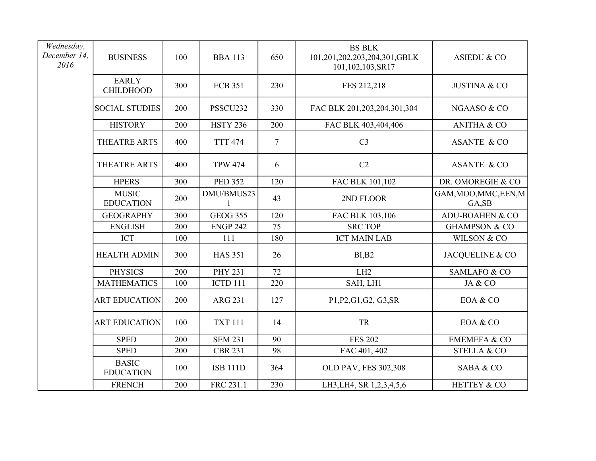| Wednesday,<br>December 14,<br>2016 | <b>BUSINESS</b>                  | 100 | <b>BBA 113</b>  | 650            | <b>BS BLK</b><br>101,201,202,203,204,301,GBLK<br>101,102,103,SR17 | <b>ASIEDU &amp; CO</b>          |
|------------------------------------|----------------------------------|-----|-----------------|----------------|-------------------------------------------------------------------|---------------------------------|
|                                    | <b>EARLY</b><br><b>CHILDHOOD</b> | 300 | <b>ECB 351</b>  | 230            | FES 212,218                                                       | <b>JUSTINA &amp; CO</b>         |
|                                    | <b>SOCIAL STUDIES</b>            | 200 | PSSCU232        | 330            | FAC BLK 201,203,204,301,304                                       | NGAASO & CO                     |
|                                    | <b>HISTORY</b>                   | 200 | <b>HSTY 236</b> | 200            | FAC BLK 403,404,406                                               | <b>ANITHA &amp; CO</b>          |
|                                    | THEATRE ARTS                     | 400 | <b>TTT 474</b>  | $\overline{7}$ | C <sub>3</sub>                                                    | <b>ASANTE &amp; CO</b>          |
|                                    | THEATRE ARTS                     | 400 | <b>TPW 474</b>  | 6              | C <sub>2</sub>                                                    | ASANTE & CO                     |
|                                    | <b>HPERS</b>                     | 300 | <b>PED 352</b>  | 120            | FAC BLK 101,102                                                   | DR. OMOREGIE & CO               |
|                                    | <b>MUSIC</b><br><b>EDUCATION</b> | 200 | DMU/BMUS23      | 43             | 2ND FLOOR                                                         | GAM, MOO, MMC, EEN, M<br>GA, SB |
|                                    | <b>GEOGRAPHY</b>                 | 300 | <b>GEOG 355</b> | 120            | FAC BLK 103,106                                                   | <b>ADU-BOAHEN &amp; CO</b>      |
|                                    | <b>ENGLISH</b>                   | 200 | <b>ENGP 242</b> | 75             | <b>SRC TOP</b>                                                    | <b>GHAMPSON &amp; CO</b>        |
|                                    | <b>ICT</b>                       | 100 | 111             | 180            | <b>ICT MAIN LAB</b>                                               | WILSON & CO                     |
|                                    | <b>HEALTH ADMIN</b>              | 300 | <b>HAS 351</b>  | 26             | BI, B2                                                            | JACQUELINE & CO                 |
|                                    | <b>PHYSICS</b>                   | 200 | <b>PHY 231</b>  | 72             | LH2                                                               | <b>SAMLAFO &amp; CO</b>         |
|                                    | <b>MATHEMATICS</b>               | 100 | ICTD 111        | 220            | SAH, LH1                                                          | JA & CO                         |
|                                    | <b>ART EDUCATION</b>             | 200 | <b>ARG 231</b>  | 127            | P1, P2, G1, G2, G3, SR                                            | EOA & CO                        |
|                                    | <b>ART EDUCATION</b>             | 100 | <b>TXT 111</b>  | 14             | <b>TR</b>                                                         | EOA & CO                        |
|                                    | <b>SPED</b>                      | 200 | <b>SEM 231</b>  | 90             | <b>FES 202</b>                                                    | <b>EMEMEFA &amp; CO</b>         |
|                                    | <b>SPED</b>                      | 200 | <b>CBR 231</b>  | 98             | FAC 401, 402                                                      | <b>STELLA &amp; CO</b>          |
|                                    | <b>BASIC</b><br><b>EDUCATION</b> | 100 | <b>ISB 111D</b> | 364            | OLD PAV, FES 302,308                                              | SABA & CO                       |
|                                    | <b>FRENCH</b>                    | 200 | FRC 231.1       | 230            | LH3, LH4, SR 1, 2, 3, 4, 5, 6                                     | HETTEY & CO                     |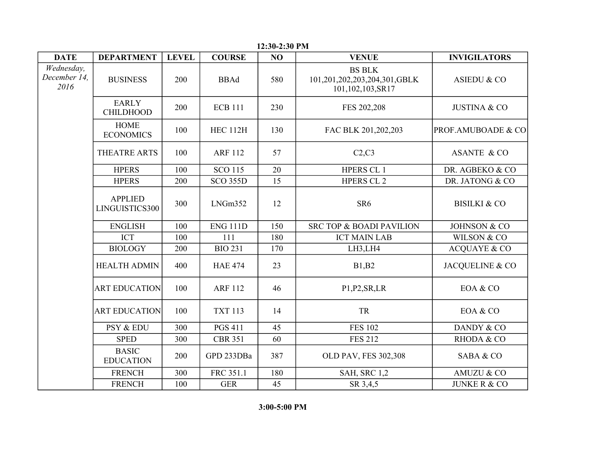| <b>DATE</b>                        | <b>DEPARTMENT</b>                | <b>LEVEL</b> | <b>COURSE</b>   | NO  | <b>VENUE</b>                                                      | <b>INVIGILATORS</b>           |
|------------------------------------|----------------------------------|--------------|-----------------|-----|-------------------------------------------------------------------|-------------------------------|
| Wednesday,<br>December 14,<br>2016 | <b>BUSINESS</b>                  | 200          | <b>BBAd</b>     | 580 | <b>BS BLK</b><br>101,201,202,203,204,301,GBLK<br>101,102,103,SR17 | <b>ASIEDU &amp; CO</b>        |
|                                    | <b>EARLY</b><br><b>CHILDHOOD</b> | 200          | <b>ECB 111</b>  | 230 | FES 202,208                                                       | <b>JUSTINA &amp; CO</b>       |
|                                    | <b>HOME</b><br><b>ECONOMICS</b>  | 100          | <b>HEC 112H</b> | 130 | FAC BLK 201,202,203                                               | <b>PROF.AMUBOADE &amp; CO</b> |
|                                    | THEATRE ARTS                     | 100          | <b>ARF 112</b>  | 57  | C2, C3                                                            | <b>ASANTE &amp; CO</b>        |
|                                    | <b>HPERS</b>                     | 100          | <b>SCO 115</b>  | 20  | <b>HPERS CL1</b>                                                  | DR. AGBEKO & CO               |
|                                    | <b>HPERS</b>                     | 200          | <b>SCO 355D</b> | 15  | <b>HPERS CL 2</b>                                                 | DR. JATONG & CO               |
|                                    | <b>APPLIED</b><br>LINGUISTICS300 | 300          | LNGm352         | 12  | SR <sub>6</sub>                                                   | <b>BISILKI &amp; CO</b>       |
|                                    | <b>ENGLISH</b>                   | 100          | <b>ENG 111D</b> | 150 | SRC TOP & BOADI PAVILION                                          | JOHNSON & CO                  |
|                                    | <b>ICT</b>                       | 100          | 111             | 180 | <b>ICT MAIN LAB</b>                                               | WILSON & CO                   |
|                                    | <b>BIOLOGY</b>                   | 200          | <b>BIO 231</b>  | 170 | LH3,LH4                                                           | <b>ACQUAYE &amp; CO</b>       |
|                                    | <b>HEALTH ADMIN</b>              | 400          | <b>HAE 474</b>  | 23  | B1,B2                                                             | JACQUELINE & CO               |
|                                    | <b>ART EDUCATION</b>             | 100          | <b>ARF 112</b>  | 46  | P1, P2, SR, LR                                                    | EOA & CO                      |
|                                    | <b>ART EDUCATION</b>             | 100          | <b>TXT 113</b>  | 14  | <b>TR</b>                                                         | EOA & CO                      |
|                                    | PSY & EDU                        | 300          | <b>PGS 411</b>  | 45  | <b>FES 102</b>                                                    | DANDY & CO                    |
|                                    | <b>SPED</b>                      | 300          | <b>CBR 351</b>  | 60  | <b>FES 212</b>                                                    | RHODA & CO                    |
|                                    | <b>BASIC</b><br><b>EDUCATION</b> | 200          | GPD 233DBa      | 387 | OLD PAV, FES 302,308                                              | SABA & CO                     |
|                                    | <b>FRENCH</b>                    | 300          | FRC 351.1       | 180 | <b>SAH, SRC 1,2</b>                                               | AMUZU & CO                    |
|                                    | <b>FRENCH</b>                    | 100          | <b>GER</b>      | 45  | SR 3,4,5                                                          | <b>JUNKE R &amp; CO</b>       |

**12:30-2:30 PM**

**3:00-5:00 PM**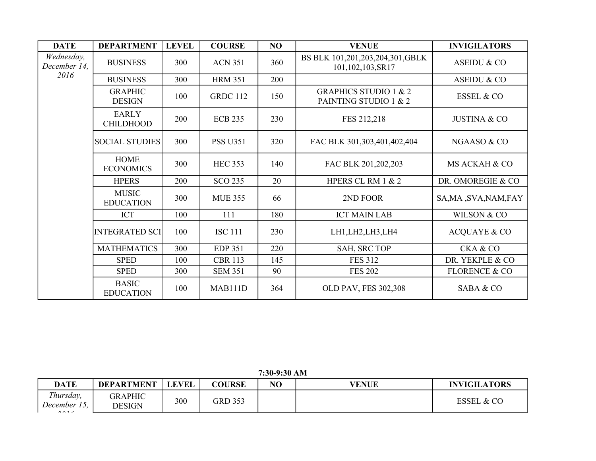| <b>DATE</b>                | <b>DEPARTMENT</b>                | <b>LEVEL</b> | <b>COURSE</b>   | NO  | <b>VENUE</b>                                              | <b>INVIGILATORS</b>      |
|----------------------------|----------------------------------|--------------|-----------------|-----|-----------------------------------------------------------|--------------------------|
| Wednesday,<br>December 14, | <b>BUSINESS</b>                  | 300          | <b>ACN 351</b>  | 360 | BS BLK 101,201,203,204,301,GBLK<br>101,102,103,SR17       | <b>ASEIDU &amp; CO</b>   |
| 2016                       | <b>BUSINESS</b>                  | 300          | <b>HRM 351</b>  | 200 |                                                           | <b>ASEIDU &amp; CO</b>   |
|                            | <b>GRAPHIC</b><br><b>DESIGN</b>  | 100          | <b>GRDC 112</b> | 150 | <b>GRAPHICS STUDIO 1 &amp; 2</b><br>PAINTING STUDIO 1 & 2 | <b>ESSEL &amp; CO</b>    |
|                            | <b>EARLY</b><br><b>CHILDHOOD</b> | 200          | <b>ECB 235</b>  | 230 | FES 212,218                                               | <b>JUSTINA &amp; CO</b>  |
|                            | <b>SOCIAL STUDIES</b>            | 300          | <b>PSS U351</b> | 320 | FAC BLK 301,303,401,402,404                               | NGAASO & CO              |
|                            | <b>HOME</b><br><b>ECONOMICS</b>  | 300          | <b>HEC 353</b>  | 140 | FAC BLK 201,202,203                                       | MS ACKAH & CO            |
|                            | <b>HPERS</b>                     | 200          | <b>SCO 235</b>  | 20  | HPERS CL RM 1 & 2                                         | DR. OMOREGIE & CO        |
|                            | <b>MUSIC</b><br><b>EDUCATION</b> | 300          | <b>MUE 355</b>  | 66  | 2ND FOOR                                                  | SA, MA, SVA, NAM, FAY    |
|                            | <b>ICT</b>                       | 100          | 111             | 180 | <b>ICT MAIN LAB</b>                                       | WILSON & CO              |
|                            | <b>INTEGRATED SCI</b>            | 100          | <b>ISC 111</b>  | 230 | LH1, LH2, LH3, LH4                                        | <b>ACQUAYE &amp; CO</b>  |
|                            | <b>MATHEMATICS</b>               | 300          | <b>EDP 351</b>  | 220 | SAH, SRC TOP                                              | <b>CKA &amp; CO</b>      |
|                            | <b>SPED</b>                      | 100          | <b>CBR 113</b>  | 145 | <b>FES 312</b>                                            | DR. YEKPLE & CO          |
|                            | <b>SPED</b>                      | 300          | <b>SEM 351</b>  | 90  | <b>FES 202</b>                                            | <b>FLORENCE &amp; CO</b> |
|                            | <b>BASIC</b><br><b>EDUCATION</b> | 100          | MAB111D         | 364 | OLD PAV, FES 302,308                                      | SABA & CO                |

**7:30-9:30 AM**

| <b>DATE</b>                         | <b>DEPARTMENT</b> | <b>LEVEL</b> | <b>COURSE</b>  | NO | <b>VENUE</b> | <b>INVIGILATORS</b>    |
|-------------------------------------|-------------------|--------------|----------------|----|--------------|------------------------|
| Thursday,<br>December 15,<br>$2017$ | GRAPHIC<br>DESIGN | 300          | <b>GRD 353</b> |    |              | <b>ESSEL</b><br>. & CO |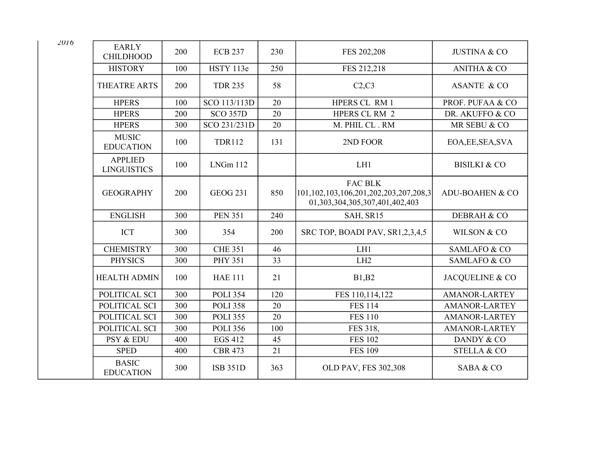| <b>EARLY</b><br><b>CHILDHOOD</b>     | 200 | <b>ECB 237</b>  | 230 | FES 202,208                                                                               | <b>JUSTINA &amp; CO</b> |
|--------------------------------------|-----|-----------------|-----|-------------------------------------------------------------------------------------------|-------------------------|
| <b>HISTORY</b>                       | 100 | HSTY 113e       | 250 | FES 212,218                                                                               | <b>ANITHA &amp; CO</b>  |
| THEATRE ARTS                         | 200 | <b>TDR 235</b>  | 58  | C2, C3                                                                                    | <b>ASANTE &amp; CO</b>  |
| <b>HPERS</b>                         | 100 | SCO 113/113D    | 20  | HPERS CL RM 1                                                                             | PROF. PUFAA & CO        |
| <b>HPERS</b>                         | 200 | <b>SCO 357D</b> | 20  | HPERS CL RM 2                                                                             | DR. AKUFFO & CO         |
| <b>HPERS</b>                         | 300 | SCO 231/231D    | 20  | M. PHIL CL. RM                                                                            | MR SEBU & CO            |
| <b>MUSIC</b><br><b>EDUCATION</b>     | 100 | <b>TDR112</b>   | 131 | 2ND FOOR                                                                                  | EOA, EE, SEA, SVA       |
| <b>APPLIED</b><br><b>LINGUISTICS</b> | 100 | LNGm112         |     | LH1                                                                                       | <b>BISILKI &amp; CO</b> |
| <b>GEOGRAPHY</b>                     | 200 | <b>GEOG 231</b> | 850 | <b>FAC BLK</b><br>101,102,103,106,201,202,203,207,208,3<br>01,303,304,305,307,401,402,403 | ADU-BOAHEN & CO         |
| <b>ENGLISH</b>                       | 300 | <b>PEN 351</b>  | 240 | SAH, SR15                                                                                 | DEBRAH & CO             |
| <b>ICT</b>                           | 300 | 354             | 200 | SRC TOP, BOADI PAV, SR1,2,3,4,5                                                           | WILSON & CO             |
| <b>CHEMISTRY</b>                     | 300 | <b>CHE 351</b>  | 46  | LH1                                                                                       | <b>SAMLAFO &amp; CO</b> |
| <b>PHYSICS</b>                       | 300 | <b>PHY 351</b>  | 33  | LH2                                                                                       | <b>SAMLAFO &amp; CO</b> |
| <b>HEALTH ADMIN</b>                  | 100 | <b>HAE 111</b>  | 21  | B1,B2                                                                                     | JACQUELINE & CO         |
| POLITICAL SCI                        | 300 | <b>POLI 354</b> | 120 | FES 110,114,122                                                                           | <b>AMANOR-LARTEY</b>    |
| POLITICAL SCI                        | 300 | <b>POLI 358</b> | 20  | <b>FES 114</b>                                                                            | <b>AMANOR-LARTEY</b>    |
| POLITICAL SCI                        | 300 | <b>POLI 355</b> | 20  | <b>FES 110</b>                                                                            | <b>AMANOR-LARTEY</b>    |
| POLITICAL SCI                        | 300 | <b>POLI 356</b> | 100 | FES 318,                                                                                  | <b>AMANOR-LARTEY</b>    |
| PSY & EDU                            | 400 | <b>EGS 412</b>  | 45  | <b>FES 102</b>                                                                            | DANDY & CO              |
| <b>SPED</b>                          | 400 | <b>CBR 473</b>  | 21  | <b>FES 109</b>                                                                            | <b>STELLA &amp; CO</b>  |
| <b>BASIC</b><br><b>EDUCATION</b>     | 300 | <b>ISB 351D</b> | 363 | OLD PAV, FES 302,308                                                                      | SABA & CO               |

*2016*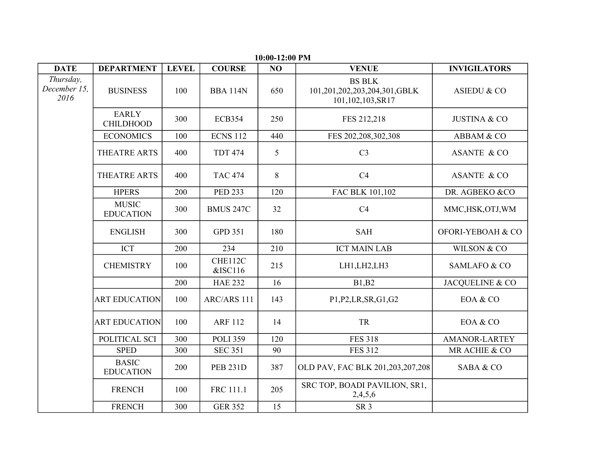| <b>DATE</b>                       | <b>DEPARTMENT</b>                | <b>LEVEL</b> | <b>COURSE</b>      | NO  | <b>VENUE</b>                                                      | <b>INVIGILATORS</b>     |
|-----------------------------------|----------------------------------|--------------|--------------------|-----|-------------------------------------------------------------------|-------------------------|
| Thursday,<br>December 15,<br>2016 | <b>BUSINESS</b>                  | 100          | <b>BBA 114N</b>    | 650 | <b>BS BLK</b><br>101,201,202,203,204,301,GBLK<br>101,102,103,SR17 | <b>ASIEDU &amp; CO</b>  |
|                                   | <b>EARLY</b><br><b>CHILDHOOD</b> | 300          | <b>ECB354</b>      | 250 | FES 212,218                                                       | <b>JUSTINA &amp; CO</b> |
|                                   | <b>ECONOMICS</b>                 | 100          | <b>ECNS 112</b>    | 440 | FES 202,208,302,308                                               | ABBAM & CO              |
|                                   | <b>THEATRE ARTS</b>              | 400          | <b>TDT 474</b>     | 5   | C <sub>3</sub>                                                    | <b>ASANTE &amp; CO</b>  |
|                                   | THEATRE ARTS                     | 400          | <b>TAC 474</b>     | 8   | C <sub>4</sub>                                                    | <b>ASANTE &amp; CO</b>  |
|                                   | <b>HPERS</b>                     | 200          | <b>PED 233</b>     | 120 | FAC BLK 101,102                                                   | DR. AGBEKO &CO          |
|                                   | <b>MUSIC</b><br><b>EDUCATION</b> | 300          | <b>BMUS 247C</b>   | 32  | C4                                                                | MMC,HSK,OTJ,WM          |
|                                   | <b>ENGLISH</b>                   | 300          | <b>GPD 351</b>     | 180 | <b>SAH</b>                                                        | OFORI-YEBOAH & CO       |
|                                   | <b>ICT</b>                       | 200          | 234                | 210 | <b>ICT MAIN LAB</b>                                               | WILSON & CO             |
|                                   | <b>CHEMISTRY</b>                 | 100          | CHE112C<br>&ISC116 | 215 | LH1, LH2, LH3                                                     | SAMLAFO & CO            |
|                                   |                                  | 200          | <b>HAE 232</b>     | 16  | B1,B2                                                             | JACQUELINE & CO         |
|                                   | <b>ART EDUCATION</b>             | 100          | ARC/ARS 111        | 143 | P1, P2, LR, SR, G1, G2                                            | EOA & CO                |
|                                   | <b>ART EDUCATION</b>             | 100          | <b>ARF 112</b>     | 14  | TR                                                                | EOA & CO                |
|                                   | POLITICAL SCI                    | 300          | <b>POLI 359</b>    | 120 | <b>FES 318</b>                                                    | <b>AMANOR-LARTEY</b>    |
|                                   | <b>SPED</b>                      | 300          | <b>SEC 351</b>     | 90  | <b>FES 312</b>                                                    | MR ACHIE & CO           |
|                                   | <b>BASIC</b><br><b>EDUCATION</b> | 200          | <b>PEB 231D</b>    | 387 | OLD PAV, FAC BLK 201,203,207,208                                  | SABA & CO               |
|                                   | <b>FRENCH</b>                    | 100          | FRC 111.1          | 205 | SRC TOP, BOADI PAVILION, SR1,<br>2,4,5,6                          |                         |
|                                   | <b>FRENCH</b>                    | 300          | <b>GER 352</b>     | 15  | SR <sub>3</sub>                                                   |                         |

**10:00-12:00 PM**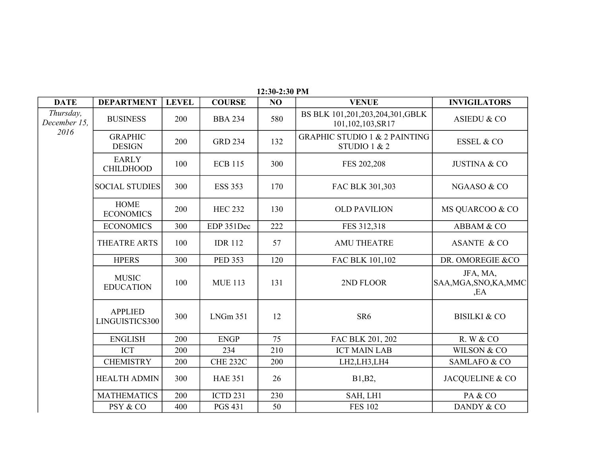| <b>DATE</b>               | <b>DEPARTMENT</b>                | <b>LEVEL</b> | <b>COURSE</b>   | N <sub>O</sub> | <b>VENUE</b>                                             | <b>INVIGILATORS</b>                       |
|---------------------------|----------------------------------|--------------|-----------------|----------------|----------------------------------------------------------|-------------------------------------------|
| Thursday,<br>December 15, | <b>BUSINESS</b>                  | 200          | <b>BBA 234</b>  | 580            | BS BLK 101,201,203,204,301,GBLK<br>101,102,103,SR17      | <b>ASIEDU &amp; CO</b>                    |
| 2016                      | <b>GRAPHIC</b><br><b>DESIGN</b>  | 200          | <b>GRD 234</b>  | 132            | <b>GRAPHIC STUDIO 1 &amp; 2 PAINTING</b><br>STUDIO 1 & 2 | <b>ESSEL &amp; CO</b>                     |
|                           | <b>EARLY</b><br><b>CHILDHOOD</b> | 100          | <b>ECB 115</b>  | 300            | FES 202,208                                              | <b>JUSTINA &amp; CO</b>                   |
|                           | <b>SOCIAL STUDIES</b>            | 300          | <b>ESS 353</b>  | 170            | FAC BLK 301,303                                          | NGAASO & CO                               |
|                           | <b>HOME</b><br><b>ECONOMICS</b>  | 200          | <b>HEC 232</b>  | 130            | <b>OLD PAVILION</b>                                      | MS QUARCOO & CO                           |
|                           | <b>ECONOMICS</b>                 | 300          | EDP 351Dec      | 222            | FES 312,318                                              | ABBAM & CO                                |
|                           | <b>THEATRE ARTS</b>              | 100          | <b>IDR 112</b>  | 57             | <b>AMU THEATRE</b>                                       | <b>ASANTE &amp; CO</b>                    |
|                           | <b>HPERS</b>                     | 300          | <b>PED 353</b>  | 120            | FAC BLK 101,102                                          | DR. OMOREGIE & CO                         |
|                           | <b>MUSIC</b><br><b>EDUCATION</b> | 100          | <b>MUE 113</b>  | 131            | 2ND FLOOR                                                | JFA, MA,<br>SAA, MGA, SNO, KA, MMC<br>,EA |
|                           | <b>APPLIED</b><br>LINGUISTICS300 | 300          | <b>LNGm 351</b> | 12             | SR <sub>6</sub>                                          | <b>BISILKI &amp; CO</b>                   |
|                           | <b>ENGLISH</b>                   | 200          | <b>ENGP</b>     | 75             | FAC BLK 201, 202                                         | R. W & CO                                 |
|                           | <b>ICT</b>                       | 200          | 234             | 210            | <b>ICT MAIN LAB</b>                                      | WILSON & CO                               |
|                           | <b>CHEMISTRY</b>                 | 200          | <b>CHE 232C</b> | 200            | LH2,LH3,LH4                                              | SAMLAFO & CO                              |
|                           | <b>HEALTH ADMIN</b>              | 300          | <b>HAE 351</b>  | 26             | B1, B2,                                                  | JACQUELINE & CO                           |
|                           | <b>MATHEMATICS</b>               | 200          | <b>ICTD 231</b> | 230            | SAH, LH1                                                 | PA & CO                                   |
|                           | PSY & CO                         | 400          | <b>PGS 431</b>  | 50             | <b>FES 102</b>                                           | DANDY & CO                                |

**12:30-2:30 PM**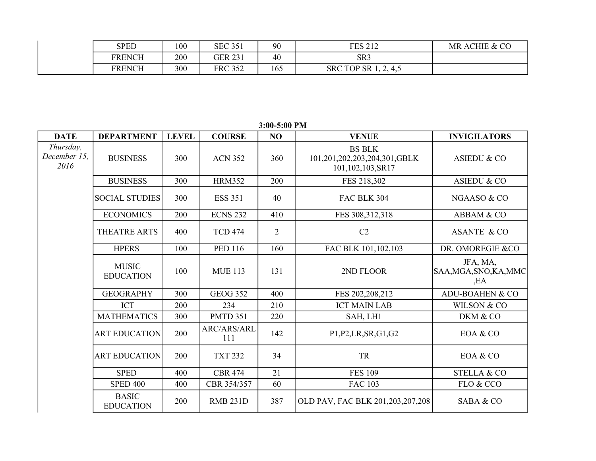| SPED   | 100 | <b>SEC 351</b> | 90  | FFS 212<br>LO 414    | MR ACHIE & CO |
|--------|-----|----------------|-----|----------------------|---------------|
| FRENCH | 200 | <b>GER 231</b> | 40  | SR <sub>3</sub>      |               |
| FRENCH | 300 | <b>FRC 352</b> | 165 | SRC TOP SR 1, 2, 4,5 |               |

**DATE DEPARTMENT LEVEL COURSE NO VENUE INVIGILATORS** BUSINESS | 300 | ACN 352 | 360 | 101,201,202,203,204,301,GBLK | ASIEDU & CO BUSINESS 300 HRM352 200 FES 218,302 ASIEDU & CO SOCIAL STUDIES  $\begin{array}{|c|c|c|c|c|c|} \hline \end{array}$  300 ESS 351  $\begin{array}{|c|c|c|c|c|} \hline \end{array}$  40 FAC BLK 304  $\begin{array}{|c|c|c|c|c|} \hline \end{array}$  NGAASO & CO ECONOMICS | 200 | ECNS 232 | 410 | FES 308,312,318 | ABBAM & CO THEATRE ARTS  $\begin{array}{c|c|c|c|c|c|c|c|c} \text{74} & \text{75} & \text{76} & \text{77} & \text{78} \\ \text{77} & \text{78} & \text{78} & \text{78} & \text{79} \\ \text{78} & \text{79} & \text{79} & \text{79} & \text{70} \\ \text{79} & \text{79} & \text{79} & \text{70} & \text{77} \\ \text{70} & \text{77} & \text{78} & \text{79} & \text{70} \\ \text{70} & \text$ HPERS | 100 | PED 116 | 160 | FAC BLK 101,102,103 | DR. OMOREGIE &CO 100 | MUE 113 | 131 | 2ND FLOOR GEOGRAPHY | 300 | GEOG 352 | 400 | FES 202,208,212 | ADU-BOAHEN & CO ICT  $\begin{array}{|c|c|c|c|c|c|c|c|} \hline 200 & 234 & 210 & \text{ICT MAN LAB} & \text{WILSON & CO} \ \hline \end{array}$ MATHEMATICS 300 | PMTD 351 | 220 | SAH, LH1 | DKM & CO ART EDUCATION 200 142 P1,P2,LR,SR,G1,G2 EOA & CO  $ART \, \text{EDUCA}$  TON  $200$  TXT 232  $34$  TR TR EOA & CO SPED | 400 | CBR 474 | 21 | FES 109 | STELLA & CO SPED 400 | 400 | CBR 354/357 | 60 | FAC 103 | FLO & CCO 200 | RMB 231D | 387 | OLD PAV, FAC BLK 201,203,207,208 | SABA & CO *Thursday, December 15, 2016* BS BLK 101,102,103,SR17 MUSIC EDUCATION JFA, MA, SAA,MGA,SNO,KA,MMC ,EA ARC/ARS/ARL 111 BASIC EDUCATION

**3:00-5:00 PM**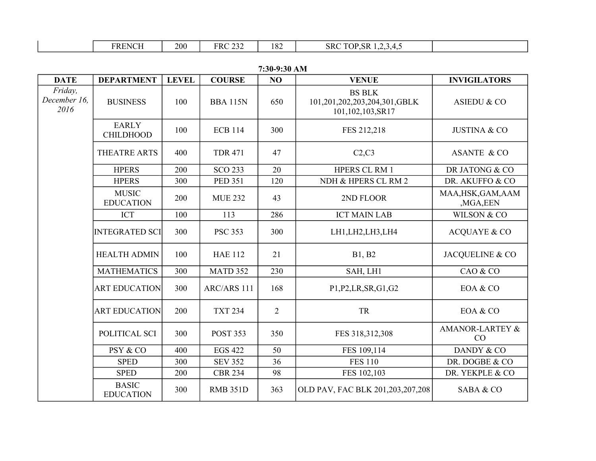| 'N LOT L<br>'NU<br>- NE | 200 | <b>FRC 232</b><br>ے بے | 182 | ' TOP<br>SRC<br>'.SR<br>$\sqrt{1}$<br>ີ້<br>. . <i>.</i> |  |
|-------------------------|-----|------------------------|-----|----------------------------------------------------------|--|
|-------------------------|-----|------------------------|-----|----------------------------------------------------------|--|

| <b>DATE</b>                     | <b>DEPARTMENT</b>                | <b>LEVEL</b> | <b>COURSE</b>   | NO             | <b>VENUE</b>                                                      | <b>INVIGILATORS</b>              |
|---------------------------------|----------------------------------|--------------|-----------------|----------------|-------------------------------------------------------------------|----------------------------------|
| Friday,<br>December 16,<br>2016 | <b>BUSINESS</b>                  | 100          | <b>BBA 115N</b> | 650            | <b>BS BLK</b><br>101,201,202,203,204,301,GBLK<br>101,102,103,SR17 | ASIEDU & CO                      |
|                                 | <b>EARLY</b><br><b>CHILDHOOD</b> | 100          | <b>ECB 114</b>  | 300            | FES 212,218                                                       | <b>JUSTINA &amp; CO</b>          |
|                                 | THEATRE ARTS                     | 400          | <b>TDR 471</b>  | 47             | C2,C3                                                             | <b>ASANTE &amp; CO</b>           |
|                                 | <b>HPERS</b>                     | 200          | <b>SCO 233</b>  | 20             | HPERS CL RM 1                                                     | DR JATONG & CO                   |
|                                 | <b>HPERS</b>                     | 300          | <b>PED 351</b>  | 120            | NDH & HPERS CL RM 2                                               | DR. AKUFFO & CO                  |
|                                 | <b>MUSIC</b><br><b>EDUCATION</b> | 200          | <b>MUE 232</b>  | 43             | 2ND FLOOR                                                         | MAA, HSK, GAM, AAM<br>, MGA, EEN |
|                                 | <b>ICT</b>                       | 100          | 113             | 286            | <b>ICT MAIN LAB</b>                                               | WILSON & CO                      |
|                                 | <b>INTEGRATED SCI</b>            | 300          | <b>PSC 353</b>  | 300            | LH1, LH2, LH3, LH4                                                | <b>ACQUAYE &amp; CO</b>          |
|                                 | <b>HEALTH ADMIN</b>              | 100          | <b>HAE 112</b>  | 21             | B1, B2                                                            | JACQUELINE & CO                  |
|                                 | <b>MATHEMATICS</b>               | 300          | <b>MATD 352</b> | 230            | SAH, LH1                                                          | CAO & CO                         |
|                                 | <b>ART EDUCATION</b>             | 300          | ARC/ARS 111     | 168            | P1, P2, LR, SR, G1, G2                                            | EOA & CO                         |
|                                 | <b>ART EDUCATION</b>             | 200          | <b>TXT 234</b>  | $\overline{2}$ | TR                                                                | EOA & CO                         |
|                                 | POLITICAL SCI                    | 300          | <b>POST 353</b> | 350            | FES 318,312,308                                                   | <b>AMANOR-LARTEY &amp;</b><br>CO |
|                                 | PSY & CO                         | 400          | <b>EGS 422</b>  | 50             | FES 109,114                                                       | DANDY & CO                       |
|                                 | <b>SPED</b>                      | 300          | <b>SEV 352</b>  | 36             | <b>FES 110</b>                                                    | DR. DOGBE & CO                   |
|                                 | <b>SPED</b>                      | 200          | <b>CBR 234</b>  | 98             | FES 102,103                                                       | DR. YEKPLE & CO                  |
|                                 | <b>BASIC</b><br><b>EDUCATION</b> | 300          | <b>RMB 351D</b> | 363            | OLD PAV, FAC BLK 201,203,207,208                                  | SABA & CO                        |

**7:30-9:30 AM**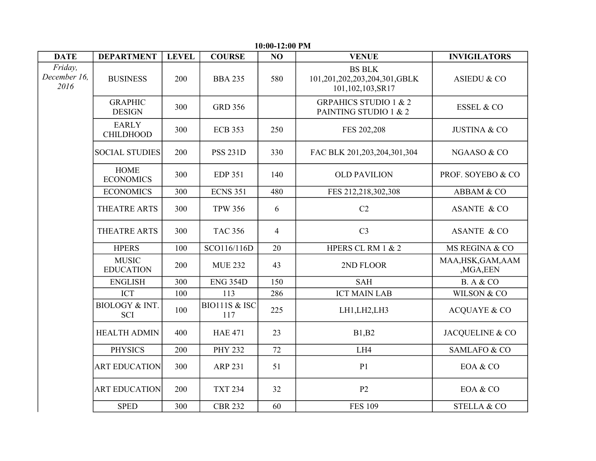| 10:00-12:00 PM                  |                                         |              |                      |                |                                                                   |                                |  |  |  |
|---------------------------------|-----------------------------------------|--------------|----------------------|----------------|-------------------------------------------------------------------|--------------------------------|--|--|--|
| <b>DATE</b>                     | <b>DEPARTMENT</b>                       | <b>LEVEL</b> | <b>COURSE</b>        | NO             | <b>VENUE</b>                                                      | <b>INVIGILATORS</b>            |  |  |  |
| Friday,<br>December 16,<br>2016 | <b>BUSINESS</b>                         | 200          | <b>BBA 235</b>       | 580            | <b>BS BLK</b><br>101,201,202,203,204,301,GBLK<br>101,102,103,SR17 | ASIEDU & CO                    |  |  |  |
|                                 | <b>GRAPHIC</b><br><b>DESIGN</b>         | 300          | <b>GRD 356</b>       |                | <b>GRPAHICS STUDIO 1 &amp; 2</b><br>PAINTING STUDIO 1 & 2         | <b>ESSEL &amp; CO</b>          |  |  |  |
|                                 | <b>EARLY</b><br><b>CHILDHOOD</b>        | 300          | <b>ECB 353</b>       | 250            | FES 202,208                                                       | <b>JUSTINA &amp; CO</b>        |  |  |  |
|                                 | <b>SOCIAL STUDIES</b>                   | 200          | <b>PSS 231D</b>      | 330            | FAC BLK 201,203,204,301,304                                       | NGAASO & CO                    |  |  |  |
|                                 | <b>HOME</b><br><b>ECONOMICS</b>         | 300          | <b>EDP 351</b>       | 140            | <b>OLD PAVILION</b>                                               | PROF. SOYEBO & CO              |  |  |  |
|                                 | <b>ECONOMICS</b>                        | 300          | <b>ECNS 351</b>      | 480            | FES 212,218,302,308                                               | ABBAM & CO                     |  |  |  |
|                                 | THEATRE ARTS                            | 300          | <b>TPW 356</b>       | 6              | C2                                                                | <b>ASANTE &amp; CO</b>         |  |  |  |
|                                 | <b>THEATRE ARTS</b>                     | 300          | <b>TAC 356</b>       | $\overline{4}$ | C <sub>3</sub>                                                    | <b>ASANTE &amp; CO</b>         |  |  |  |
|                                 | <b>HPERS</b>                            | 100          | SCO116/116D          | 20             | HPERS CL RM 1 & 2                                                 | MS REGINA & CO                 |  |  |  |
|                                 | <b>MUSIC</b><br><b>EDUCATION</b>        | 200          | <b>MUE 232</b>       | 43             | 2ND FLOOR                                                         | MAA, HSK, GAM, AAM<br>,MGA,EEN |  |  |  |
|                                 | <b>ENGLISH</b>                          | 300          | <b>ENG 354D</b>      | 150            | <b>SAH</b>                                                        | <b>B.</b> A & CO               |  |  |  |
|                                 | <b>ICT</b>                              | 100          | 113                  | 286            | <b>ICT MAIN LAB</b>                                               | WILSON & CO                    |  |  |  |
|                                 | <b>BIOLOGY &amp; INT.</b><br><b>SCI</b> | 100          | BIO111S & ISC<br>117 | 225            | LH1,LH2,LH3                                                       | <b>ACQUAYE &amp; CO</b>        |  |  |  |
|                                 | <b>HEALTH ADMIN</b>                     | 400          | <b>HAE 471</b>       | 23             | B1,B2                                                             | JACQUELINE & CO                |  |  |  |
|                                 | <b>PHYSICS</b>                          | 200          | <b>PHY 232</b>       | 72             | LH4                                                               | <b>SAMLAFO &amp; CO</b>        |  |  |  |
|                                 | <b>ART EDUCATION</b>                    | 300          | <b>ARP 231</b>       | 51             | P <sub>1</sub>                                                    | EOA & CO                       |  |  |  |
|                                 | <b>ART EDUCATION</b>                    | 200          | <b>TXT 234</b>       | 32             | P2                                                                | EOA & CO                       |  |  |  |
|                                 | <b>SPED</b>                             | 300          | <b>CBR 232</b>       | 60             | <b>FES 109</b>                                                    | <b>STELLA &amp; CO</b>         |  |  |  |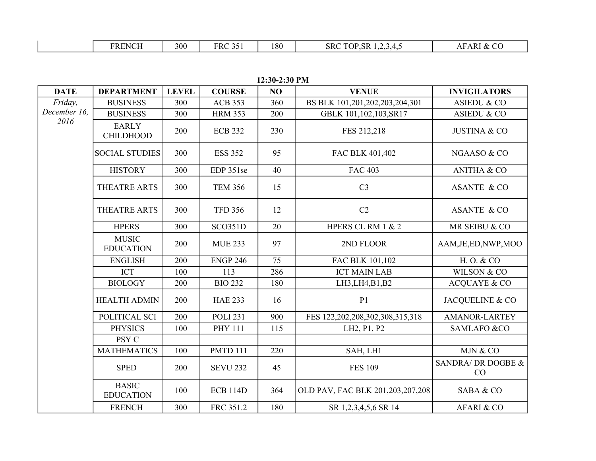**12:30-2:30 PM**

| <b>DATE</b>  | <b>DEPARTMENT</b>                | <b>LEVEL</b> | <b>COURSE</b>   | NO  | <b>VENUE</b>                     | <b>INVIGILATORS</b>      |
|--------------|----------------------------------|--------------|-----------------|-----|----------------------------------|--------------------------|
| Friday,      | <b>BUSINESS</b>                  | 300          | <b>ACB 353</b>  | 360 | BS BLK 101,201,202,203,204,301   | <b>ASIEDU &amp; CO</b>   |
| December 16, | <b>BUSINESS</b>                  | 300          | <b>HRM 353</b>  | 200 | GBLK 101,102,103, SR17           | <b>ASIEDU &amp; CO</b>   |
| 2016         | <b>EARLY</b><br><b>CHILDHOOD</b> | 200          | <b>ECB 232</b>  | 230 | FES 212,218                      | <b>JUSTINA &amp; CO</b>  |
|              | <b>SOCIAL STUDIES</b>            | 300          | <b>ESS 352</b>  | 95  | FAC BLK 401,402                  | NGAASO & CO              |
|              | <b>HISTORY</b>                   | 300          | EDP 351se       | 40  | <b>FAC 403</b>                   | <b>ANITHA &amp; CO</b>   |
|              | THEATRE ARTS                     | 300          | <b>TEM 356</b>  | 15  | C <sub>3</sub>                   | <b>ASANTE &amp; CO</b>   |
|              | THEATRE ARTS                     | 300          | <b>TFD 356</b>  | 12  | C <sub>2</sub>                   | <b>ASANTE &amp; CO</b>   |
|              | <b>HPERS</b>                     | 300          | <b>SCO351D</b>  | 20  | HPERS CL RM 1 & 2                | MR SEIBU & CO            |
|              | <b>MUSIC</b><br><b>EDUCATION</b> | 200          | <b>MUE 233</b>  | 97  | 2ND FLOOR                        | AAM, JE, ED, NWP, MOO    |
|              | <b>ENGLISH</b>                   | 200          | <b>ENGP 246</b> | 75  | FAC BLK 101,102                  | H. O. & CO               |
|              | <b>ICT</b>                       | 100          | 113             | 286 | <b>ICT MAIN LAB</b>              | WILSON & CO              |
|              | <b>BIOLOGY</b>                   | 200          | <b>BIO 232</b>  | 180 | LH3, LH4, B1, B2                 | <b>ACQUAYE &amp; CO</b>  |
|              | <b>HEALTH ADMIN</b>              | 200          | <b>HAE 233</b>  | 16  | P <sub>1</sub>                   | JACQUELINE & CO          |
|              | POLITICAL SCI                    | 200          | <b>POLI 231</b> | 900 | FES 122,202,208,302,308,315,318  | <b>AMANOR-LARTEY</b>     |
|              | <b>PHYSICS</b>                   | 100          | <b>PHY 111</b>  | 115 | LH2, P1, P2                      | <b>SAMLAFO &amp;CO</b>   |
|              | PSY C                            |              |                 |     |                                  |                          |
|              | <b>MATHEMATICS</b>               | 100          | <b>PMTD 111</b> | 220 | SAH, LH1                         | MJN & CO                 |
|              | <b>SPED</b>                      | 200          | <b>SEVU 232</b> | 45  | <b>FES 109</b>                   | SANDRA/ DR DOGBE &<br>CO |
|              | <b>BASIC</b><br><b>EDUCATION</b> | 100          | <b>ECB 114D</b> | 364 | OLD PAV, FAC BLK 201,203,207,208 | SABA & CO                |
|              | <b>FRENCH</b>                    | 300          | FRC 351.2       | 180 | SR 1,2,3,4,5,6 SR 14             | AFARI & CO               |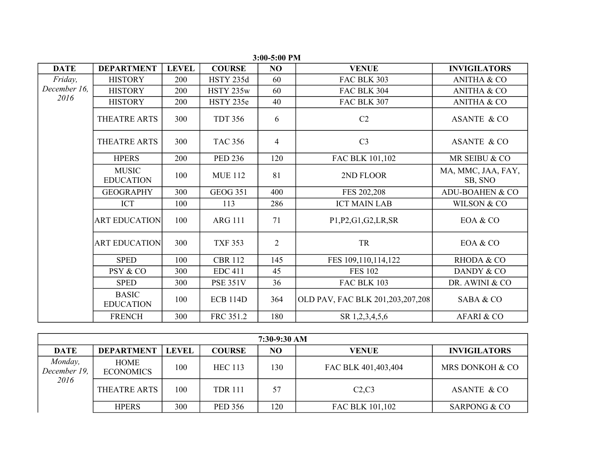| <b>DATE</b>  | <b>DEPARTMENT</b>                | <b>LEVEL</b> | <b>COURSE</b>    | NO             | <b>VENUE</b>                     | <b>INVIGILATORS</b>           |
|--------------|----------------------------------|--------------|------------------|----------------|----------------------------------|-------------------------------|
| Friday,      | <b>HISTORY</b>                   | 200          | <b>HSTY 235d</b> | 60             | <b>FAC BLK 303</b>               | <b>ANITHA &amp; CO</b>        |
| December 16, | <b>HISTORY</b>                   | 200          | HSTY 235w        | 60             | FAC BLK 304                      | <b>ANITHA &amp; CO</b>        |
| 2016         | <b>HISTORY</b>                   | 200          | HSTY 235e        | 40             | FAC BLK 307                      | <b>ANITHA &amp; CO</b>        |
|              | THEATRE ARTS                     | 300          | <b>TDT 356</b>   | 6              | C2                               | <b>ASANTE &amp; CO</b>        |
|              | THEATRE ARTS                     | 300          | <b>TAC 356</b>   | $\overline{4}$ | C <sub>3</sub>                   | <b>ASANTE &amp; CO</b>        |
|              | <b>HPERS</b>                     | 200          | <b>PED 236</b>   | 120            | FAC BLK 101,102                  | MR SEIBU & CO                 |
|              | <b>MUSIC</b><br><b>EDUCATION</b> | 100          | <b>MUE 112</b>   | 81             | 2ND FLOOR                        | MA, MMC, JAA, FAY,<br>SB, SNO |
|              | <b>GEOGRAPHY</b>                 | 300          | <b>GEOG 351</b>  | 400            | FES 202,208                      | <b>ADU-BOAHEN &amp; CO</b>    |
|              | <b>ICT</b>                       | 100          | 113              | 286            | <b>ICT MAIN LAB</b>              | WILSON & CO                   |
|              | <b>ART EDUCATION</b>             | 100          | <b>ARG 111</b>   | 71             | P1, P2, G1, G2, LR, SR           | EOA & CO                      |
|              | <b>ART EDUCATION</b>             | 300          | <b>TXF 353</b>   | $\overline{2}$ | TR                               | EOA & CO                      |
|              | <b>SPED</b>                      | 100          | <b>CBR 112</b>   | 145            | FES 109,110,114,122              | RHODA & CO                    |
|              | PSY & CO                         | 300          | <b>EDC 411</b>   | 45             | <b>FES 102</b>                   | DANDY & CO                    |
|              | <b>SPED</b>                      | 300          | <b>PSE 351V</b>  | 36             | <b>FAC BLK 103</b>               | DR. AWINI & CO                |
|              | <b>BASIC</b><br><b>EDUCATION</b> | 100          | <b>ECB 114D</b>  | 364            | OLD PAV, FAC BLK 201,203,207,208 | SABA & CO                     |
|              | <b>FRENCH</b>                    | 300          | FRC 351.2        | 180            | SR 1,2,3,4,5,6                   | AFARI & CO                    |

**3:00-5:00 PM**

| 7:30-9:30 AM            |                                 |              |                |     |                     |                         |  |  |  |  |
|-------------------------|---------------------------------|--------------|----------------|-----|---------------------|-------------------------|--|--|--|--|
| <b>DATE</b>             | <b>DEPARTMENT</b>               | <b>LEVEL</b> | <b>COURSE</b>  | NO  | <b>VENUE</b>        | <b>INVIGILATORS</b>     |  |  |  |  |
| Monday,<br>December 19, | <b>HOME</b><br><b>ECONOMICS</b> | 100          | <b>HEC 113</b> | 130 | FAC BLK 401,403,404 | MRS DONKOH & CO         |  |  |  |  |
| 2016                    | THEATRE ARTS                    | 100          | <b>TDR</b> 111 | 57  | C2, C3              | <b>ASANTE &amp; CO</b>  |  |  |  |  |
|                         | <b>HPERS</b>                    | 300          | <b>PED</b> 356 | 120 | FAC BLK 101,102     | <b>SARPONG &amp; CO</b> |  |  |  |  |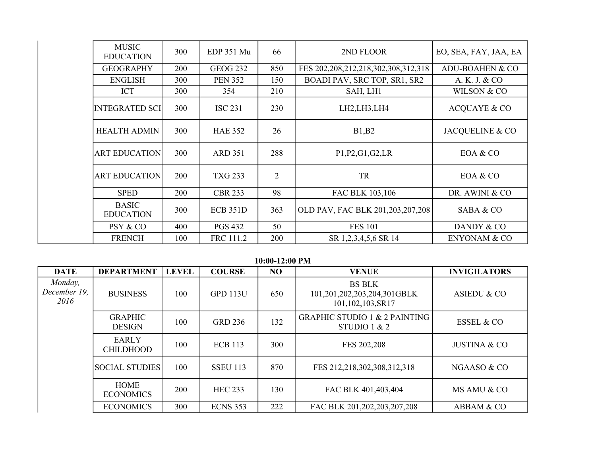| <b>MUSIC</b><br><b>EDUCATION</b> | 300 | EDP 351 Mu      | 66             | 2ND FLOOR                                  | EO, SEA, FAY, JAA, EA   |
|----------------------------------|-----|-----------------|----------------|--------------------------------------------|-------------------------|
| <b>GEOGRAPHY</b>                 | 200 | <b>GEOG 232</b> | 850            | FES 202, 208, 212, 218, 302, 308, 312, 318 | ADU-BOAHEN & CO         |
| <b>ENGLISH</b>                   | 300 | <b>PEN 352</b>  | 150            | BOADI PAV, SRC TOP, SR1, SR2               | A. K. J. & CO           |
| <b>ICT</b>                       | 300 | 354             | 210            | SAH, LH1                                   | WILSON & CO             |
| <b>INTEGRATED SCI</b>            | 300 | <b>ISC 231</b>  | 230            | LH2,LH3,LH4                                | <b>ACQUAYE &amp; CO</b> |
| <b>HEALTH ADMIN</b>              | 300 | <b>HAE 352</b>  | 26             | B1,B2                                      | JACQUELINE & CO         |
| <b>ART EDUCATION</b>             | 300 | <b>ARD 351</b>  | 288            | P1, P2, G1, G2, LR                         | EOA & CO                |
| <b>ART EDUCATION</b>             | 200 | <b>TXG 233</b>  | $\overline{2}$ | TR                                         | EOA & CO                |
| <b>SPED</b>                      | 200 | <b>CBR 233</b>  | 98             | FAC BLK 103,106                            | DR. AWINI & CO          |
| <b>BASIC</b><br><b>EDUCATION</b> | 300 | <b>ECB 351D</b> | 363            | OLD PAV, FAC BLK 201,203,207,208           | SABA & CO               |
| PSY & CO                         | 400 | <b>PGS 432</b>  | 50             | <b>FES 101</b>                             | DANDY & CO              |
| <b>FRENCH</b>                    | 100 | FRC 111.2       | 200            | SR 1,2,3,4,5,6 SR 14                       | <b>ENYONAM &amp; CO</b> |

**10:00-12:00 PM**

| <b>DATE</b>                     | <b>DEPARTMENT</b>                | <b>LEVEL</b> | <b>COURSE</b>   | NO  | <b>VENUE</b>                                                     | <b>INVIGILATORS</b>     |
|---------------------------------|----------------------------------|--------------|-----------------|-----|------------------------------------------------------------------|-------------------------|
| Monday,<br>December 19.<br>2016 | <b>BUSINESS</b>                  | 100          | <b>GPD 113U</b> | 650 | <b>BS BLK</b><br>101,201,202,203,204,301GBLK<br>101,102,103,SR17 | <b>ASIEDU &amp; CO</b>  |
|                                 | <b>GRAPHIC</b><br><b>DESIGN</b>  | 100          | <b>GRD 236</b>  | 132 | <b>GRAPHIC STUDIO 1 &amp; 2 PAINTING</b><br>STUDIO 1 $& 2$       | <b>ESSEL &amp; CO</b>   |
|                                 | <b>EARLY</b><br><b>CHILDHOOD</b> | 100          | <b>ECB</b> 113  | 300 | FES 202,208                                                      | <b>JUSTINA &amp; CO</b> |
|                                 | <b>SOCIAL STUDIES</b>            | 100          | <b>SSEU 113</b> | 870 | FES 212,218,302,308,312,318                                      | NGAASO & CO             |
|                                 | <b>HOME</b><br><b>ECONOMICS</b>  | 200          | <b>HEC 233</b>  | 130 | FAC BLK 401,403,404                                              | MS AMU & CO             |
|                                 | <b>ECONOMICS</b>                 | 300          | <b>ECNS 353</b> | 222 | FAC BLK 201,202,203,207,208                                      | ABBAM & CO              |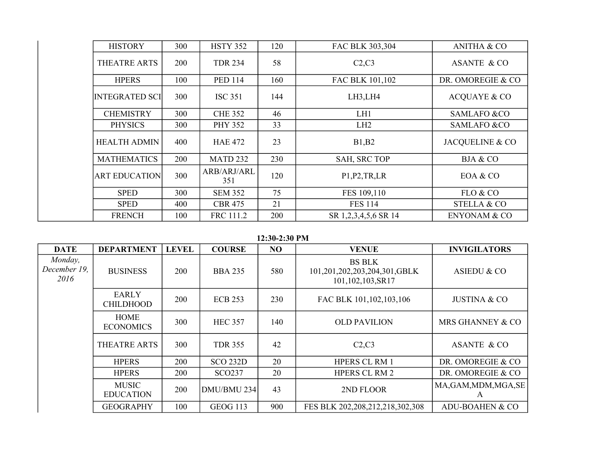| <b>HISTORY</b>        | 300 | <b>HSTY 352</b>     | 120 | FAC BLK 303,304      | <b>ANITHA &amp; CO</b>  |
|-----------------------|-----|---------------------|-----|----------------------|-------------------------|
| THEATRE ARTS          | 200 | <b>TDR 234</b>      | 58  | C2, C3               | <b>ASANTE &amp; CO</b>  |
| <b>HPERS</b>          | 100 | <b>PED 114</b>      | 160 | FAC BLK 101,102      | DR. OMOREGIE & CO       |
| <b>INTEGRATED SCI</b> | 300 | <b>ISC 351</b>      | 144 | LH3,LH4              | <b>ACQUAYE &amp; CO</b> |
| <b>CHEMISTRY</b>      | 300 | <b>CHE 352</b>      | 46  | LH1                  | <b>SAMLAFO &amp;CO</b>  |
| <b>PHYSICS</b>        | 300 | <b>PHY 352</b>      | 33  | LH <sub>2</sub>      | <b>SAMLAFO &amp;CO</b>  |
| <b>HEALTH ADMIN</b>   | 400 | <b>HAE 472</b>      | 23  | B1,B2                | JACQUELINE & CO         |
| <b>MATHEMATICS</b>    | 200 | MATD <sub>232</sub> | 230 | <b>SAH, SRC TOP</b>  | <b>BJA &amp; CO</b>     |
| <b>ART EDUCATION</b>  | 300 | ARB/ARJ/ARL<br>351  | 120 | P1, P2, TR, LR       | EOA & CO                |
| <b>SPED</b>           | 300 | <b>SEM 352</b>      | 75  | FES 109,110          | FLO & CO                |
| <b>SPED</b>           | 400 | <b>CBR 475</b>      | 21  | <b>FES 114</b>       | <b>STELLA &amp; CO</b>  |
| <b>FRENCH</b>         | 100 | FRC 111.2           | 200 | SR 1,2,3,4,5,6 SR 14 | <b>ENYONAM &amp; CO</b> |

**12:30-2:30 PM**

| <b>DATE</b>                     | <b>DEPARTMENT</b>                | <b>LEVEL</b> | <b>COURSE</b>      | <b>NO</b> | <b>VENUE</b>                                                      | <b>INVIGILATORS</b>        |
|---------------------------------|----------------------------------|--------------|--------------------|-----------|-------------------------------------------------------------------|----------------------------|
| Monday,<br>December 19,<br>2016 | <b>BUSINESS</b>                  | 200          | <b>BBA 235</b>     | 580       | <b>BS BLK</b><br>101,201,202,203,204,301,GBLK<br>101,102,103,SR17 | ASIEDU & CO                |
|                                 | <b>EARLY</b><br><b>CHILDHOOD</b> | 200          | <b>ECB 253</b>     | 230       | FAC BLK 101, 102, 103, 106                                        | <b>JUSTINA &amp; CO</b>    |
|                                 | <b>HOME</b><br><b>ECONOMICS</b>  | 300          | <b>HEC 357</b>     | 140       | <b>OLD PAVILION</b>                                               | MRS GHANNEY & CO           |
|                                 | THEATRE ARTS                     | 300          | <b>TDR 355</b>     | 42        | C2, C3                                                            | ASANTE & CO                |
|                                 | <b>HPERS</b>                     | 200          | <b>SCO 232D</b>    | 20        | <b>HPERS CL RM 1</b>                                              | DR. OMOREGIE & CO          |
|                                 | <b>HPERS</b>                     | <b>200</b>   | SCO <sub>237</sub> | 20        | <b>HPERS CL RM 2</b>                                              | DR. OMOREGIE & CO          |
|                                 | <b>MUSIC</b><br><b>EDUCATION</b> | 200          | DMU/BMU 234        | 43        | 2ND FLOOR                                                         | MA, GAM, MDM, MGA, SE<br>A |
|                                 | <b>GEOGRAPHY</b>                 | 100          | <b>GEOG 113</b>    | 900       | FES BLK 202,208,212,218,302,308                                   | ADU-BOAHEN & CO            |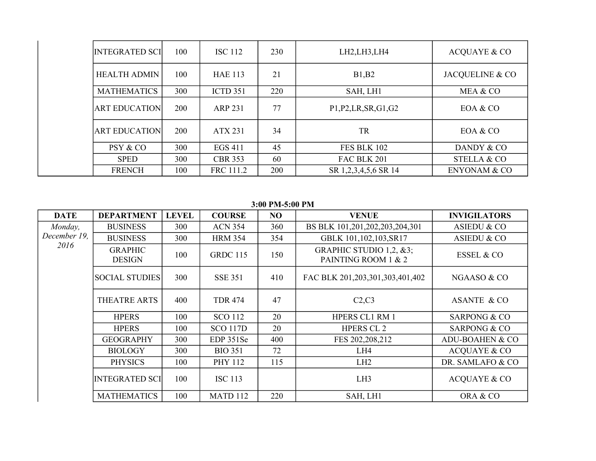| <b>INTEGRATED SCI</b> | 100        | <b>ISC 112</b>  | 230 | LH2,LH3,LH4                                                                                         | <b>ACQUAYE &amp; CO</b> |
|-----------------------|------------|-----------------|-----|-----------------------------------------------------------------------------------------------------|-------------------------|
| <b>HEALTH ADMIN</b>   | 100        | <b>HAE 113</b>  | 21  | B1,B2                                                                                               | JACQUELINE & CO         |
| <b>MATHEMATICS</b>    | 300        | <b>ICTD 351</b> | 220 | SAH, LH1                                                                                            | MEA & CO                |
| <b>ART EDUCATION</b>  | 200        | <b>ARP 231</b>  | 77  | P <sub>1</sub> , P <sub>2</sub> , L <sub>R</sub> , S <sub>R</sub> , G <sub>1</sub> , G <sub>2</sub> | EOA & CO                |
| <b>ART EDUCATION</b>  | <b>200</b> | ATX 231         | 34  | <b>TR</b>                                                                                           | EOA & CO                |
| PSY & CO              | 300        | <b>EGS 411</b>  | 45  | FES BLK 102                                                                                         | DANDY & CO              |
| <b>SPED</b>           | 300        | <b>CBR 353</b>  | 60  | FAC BLK 201                                                                                         | <b>STELLA &amp; CO</b>  |
| <b>FRENCH</b>         | 100        | FRC 111.2       | 200 | SR 1,2,3,4,5,6 SR 14                                                                                | <b>ENYONAM &amp; CO</b> |

**3:00 PM-5:00 PM**

| <b>DATE</b>  | <b>DEPARTMENT</b>               | <b>LEVEL</b> | <b>COURSE</b>   | NO  | <b>VENUE</b>                                   | <b>INVIGILATORS</b>        |
|--------------|---------------------------------|--------------|-----------------|-----|------------------------------------------------|----------------------------|
| Monday,      | <b>BUSINESS</b>                 | <b>300</b>   | <b>ACN 354</b>  | 360 | BS BLK 101,201,202,203,204,301                 | ASIEDU & CO                |
| December 19, | <b>BUSINESS</b>                 | 300          | <b>HRM 354</b>  | 354 | GBLK 101,102,103, SR17                         | <b>ASIEDU &amp; CO</b>     |
| 2016         | <b>GRAPHIC</b><br><b>DESIGN</b> | 100          | <b>GRDC 115</b> | 150 | GRAPHIC STUDIO 1,2, &3;<br>PAINTING ROOM 1 & 2 | <b>ESSEL &amp; CO</b>      |
|              | <b>SOCIAL STUDIES</b>           | 300          | <b>SSE 351</b>  | 410 | FAC BLK 201,203,301,303,401,402                | NGAASO & CO                |
|              | THEATRE ARTS                    | 400          | <b>TDR 474</b>  | 47  | C2, C3                                         | <b>ASANTE &amp; CO</b>     |
|              | <b>HPERS</b>                    | 100          | <b>SCO 112</b>  | 20  | <b>HPERS CL1 RM 1</b>                          | <b>SARPONG &amp; CO</b>    |
|              | <b>HPERS</b>                    | 100          | <b>SCO 117D</b> | 20  | <b>HPERS CL 2</b>                              | <b>SARPONG &amp; CO</b>    |
|              | <b>GEOGRAPHY</b>                | 300          | EDP 351Se       | 400 | FES 202, 208, 212                              | <b>ADU-BOAHEN &amp; CO</b> |
|              | <b>BIOLOGY</b>                  | 300          | <b>BIO 351</b>  | 72  | LH4                                            | <b>ACQUAYE &amp; CO</b>    |
|              | <b>PHYSICS</b>                  | 100          | <b>PHY 112</b>  | 115 | LH2                                            | DR. SAMLAFO & CO           |
|              | <b>INTEGRATED SCI</b>           | 100          | <b>ISC 113</b>  |     | LH <sub>3</sub>                                | <b>ACQUAYE &amp; CO</b>    |
|              | <b>MATHEMATICS</b>              | 100          | MATD 112        | 220 | SAH, LH1                                       | ORA & CO                   |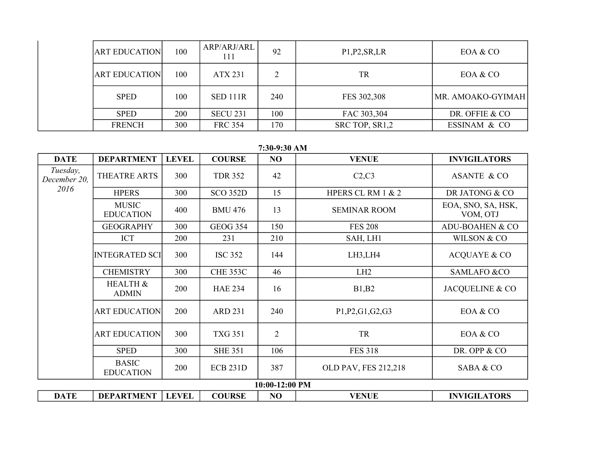| <b>ART EDUCATION</b> | 100 | ARP/ARJ/ARL     | 92  | P1, P2, SR, LR | EOA & CO          |
|----------------------|-----|-----------------|-----|----------------|-------------------|
| <b>ART EDUCATION</b> | 100 | <b>ATX 231</b>  | 2   | <b>TR</b>      | EOA & CO          |
| <b>SPED</b>          | 100 | <b>SED 111R</b> | 240 | FES 302,308    | MR. AMOAKO-GYIMAH |
| <b>SPED</b>          | 200 | <b>SECU 231</b> | 100 | FAC 303,304    | DR. OFFIE & CO    |
| <b>FRENCH</b>        | 300 | <b>FRC 354</b>  | 170 | SRC TOP, SR1,2 | ESSINAM & CO      |

**7:30-9:30 AM**

| <b>DATE</b>              | <b>DEPARTMENT</b>                | <b>LEVEL</b> | <b>COURSE</b>   | NO             | <b>VENUE</b>         | <b>INVIGILATORS</b>            |
|--------------------------|----------------------------------|--------------|-----------------|----------------|----------------------|--------------------------------|
| Tuesday,<br>December 20, | THEATRE ARTS                     | 300          | <b>TDR 352</b>  | 42             | C2, C3               | <b>ASANTE &amp; CO</b>         |
| 2016                     | <b>HPERS</b>                     | 300          | <b>SCO 352D</b> | 15             | HPERS CL RM 1 & 2    | DR JATONG & CO                 |
|                          | <b>MUSIC</b><br><b>EDUCATION</b> | 400          | <b>BMU 476</b>  | 13             | <b>SEMINAR ROOM</b>  | EOA, SNO, SA, HSK,<br>VOM, OTJ |
|                          | <b>GEOGRAPHY</b>                 | 300          | <b>GEOG 354</b> | 150            | <b>FES 208</b>       | <b>ADU-BOAHEN &amp; CO</b>     |
|                          | ICT                              | 200          | 231             | 210            | SAH, LH1             | WILSON & CO                    |
|                          | <b>INTEGRATED SCI</b>            | 300          | <b>ISC 352</b>  | 144            | LH3,LH4              | <b>ACQUAYE &amp; CO</b>        |
|                          | <b>CHEMISTRY</b>                 | 300          | <b>CHE 353C</b> | 46             | LH <sub>2</sub>      | <b>SAMLAFO &amp;CO</b>         |
|                          | HEALTH &<br><b>ADMIN</b>         | 200          | <b>HAE 234</b>  | 16             | B1,B2                | JACQUELINE & CO                |
|                          | <b>ART EDUCATION</b>             | 200          | <b>ARD 231</b>  | 240            | P1, P2, G1, G2, G3   | EOA & CO                       |
|                          | <b>ART EDUCATION</b>             | 300          | <b>TXG 351</b>  | $\overline{2}$ | TR                   | EOA & CO                       |
|                          | <b>SPED</b>                      | 300          | <b>SHE 351</b>  | 106            | <b>FES 318</b>       | DR. OPP & CO                   |
|                          | <b>BASIC</b><br><b>EDUCATION</b> | 200          | <b>ECB 231D</b> | 387            | OLD PAV, FES 212,218 | SABA & CO                      |
|                          |                                  |              |                 | 10:00-12:00 PM |                      |                                |
| <b>DATE</b>              | <b>DEPARTMENT</b>                | <b>LEVEL</b> | <b>COURSE</b>   | NO             | <b>VENUE</b>         | <b>INVIGILATORS</b>            |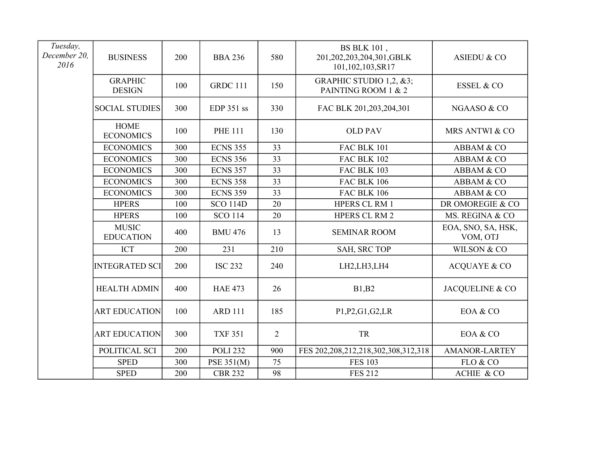| Tuesday,<br>December 20,<br>2016 | <b>BUSINESS</b>                  | 200 | <b>BBA 236</b>  | 580            | <b>BS BLK 101</b> ,<br>201,202,203,204,301,GBLK<br>101,102,103,SR17 | <b>ASIEDU &amp; CO</b>         |
|----------------------------------|----------------------------------|-----|-----------------|----------------|---------------------------------------------------------------------|--------------------------------|
|                                  | <b>GRAPHIC</b><br><b>DESIGN</b>  | 100 | <b>GRDC 111</b> | 150            | GRAPHIC STUDIO 1,2, &3;<br>PAINTING ROOM 1 & 2                      | <b>ESSEL &amp; CO</b>          |
|                                  | <b>SOCIAL STUDIES</b>            | 300 | EDP 351 ss      | 330            | FAC BLK 201,203,204,301                                             | NGAASO & CO                    |
|                                  | <b>HOME</b><br><b>ECONOMICS</b>  | 100 | <b>PHE 111</b>  | 130            | <b>OLD PAV</b>                                                      | MRS ANTWI & CO                 |
|                                  | <b>ECONOMICS</b>                 | 300 | <b>ECNS 355</b> | 33             | FAC BLK 101                                                         | ABBAM & CO                     |
|                                  | <b>ECONOMICS</b>                 | 300 | <b>ECNS 356</b> | 33             | <b>FAC BLK 102</b>                                                  | ABBAM & CO                     |
|                                  | <b>ECONOMICS</b>                 | 300 | <b>ECNS 357</b> | 33             | FAC BLK 103                                                         | ABBAM & CO                     |
|                                  | <b>ECONOMICS</b>                 | 300 | <b>ECNS 358</b> | 33             | <b>FAC BLK 106</b>                                                  | ABBAM & CO                     |
|                                  | <b>ECONOMICS</b>                 | 300 | <b>ECNS 359</b> | 33             | <b>FAC BLK 106</b>                                                  | ABBAM & CO                     |
|                                  | <b>HPERS</b>                     | 100 | <b>SCO 114D</b> | 20             | <b>HPERS CL RM 1</b>                                                | DR OMOREGIE & CO               |
|                                  | <b>HPERS</b>                     | 100 | <b>SCO 114</b>  | 20             | HPERS CL RM 2                                                       | MS. REGINA & CO                |
|                                  | <b>MUSIC</b><br><b>EDUCATION</b> | 400 | <b>BMU 476</b>  | 13             | <b>SEMINAR ROOM</b>                                                 | EOA, SNO, SA, HSK,<br>VOM, OTJ |
|                                  | ICT                              | 200 | 231             | 210            | SAH, SRC TOP                                                        | WILSON & CO                    |
|                                  | <b>INTEGRATED SCI</b>            | 200 | <b>ISC 232</b>  | 240            | LH2,LH3,LH4                                                         | <b>ACQUAYE &amp; CO</b>        |
|                                  | <b>HEALTH ADMIN</b>              | 400 | <b>HAE 473</b>  | 26             | B1,B2                                                               | JACQUELINE & CO                |
|                                  | <b>ART EDUCATION</b>             | 100 | <b>ARD 111</b>  | 185            | P1, P2, G1, G2, LR                                                  | EOA & CO                       |
|                                  | <b>ART EDUCATION</b>             | 300 | <b>TXF 351</b>  | $\overline{2}$ | <b>TR</b>                                                           | EOA & CO                       |
|                                  | POLITICAL SCI                    | 200 | <b>POLI 232</b> | 900            | FES 202, 208, 212, 218, 302, 308, 312, 318                          | <b>AMANOR-LARTEY</b>           |
|                                  | <b>SPED</b>                      | 300 | PSE 351(M)      | 75             | <b>FES 103</b>                                                      | FLO & CO                       |
|                                  | <b>SPED</b>                      | 200 | <b>CBR 232</b>  | 98             | <b>FES 212</b>                                                      | ACHIE & CO                     |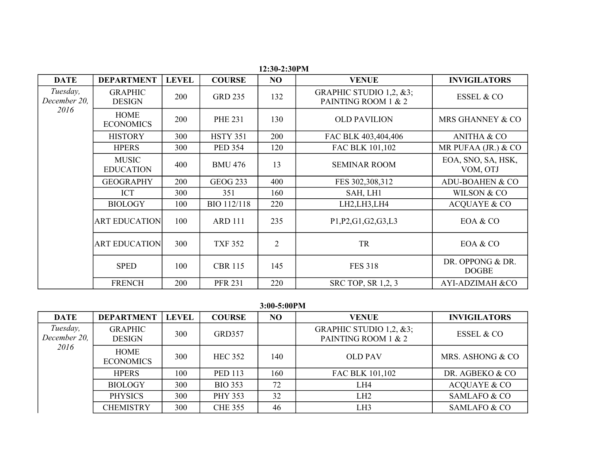| <b>DATE</b>              | <b>DEPARTMENT</b>                | <b>LEVEL</b> | <b>COURSE</b>   | NO             | <b>VENUE</b>                                   | <b>INVIGILATORS</b>              |
|--------------------------|----------------------------------|--------------|-----------------|----------------|------------------------------------------------|----------------------------------|
| Tuesday,<br>December 20. | <b>GRAPHIC</b><br><b>DESIGN</b>  | 200          | <b>GRD 235</b>  | 132            | GRAPHIC STUDIO 1,2, &3;<br>PAINTING ROOM 1 & 2 | <b>ESSEL &amp; CO</b>            |
| 2016                     | <b>HOME</b><br><b>ECONOMICS</b>  | 200          | <b>PHE 231</b>  | 130            | <b>OLD PAVILION</b>                            | MRS GHANNEY & CO                 |
|                          | <b>HISTORY</b>                   | 300          | <b>HSTY 351</b> | 200            | FAC BLK 403,404,406                            | <b>ANITHA &amp; CO</b>           |
|                          | <b>HPERS</b>                     | 300          | <b>PED 354</b>  | 120            | FAC BLK 101,102                                | MR PUFAA (JR.) $& CO$            |
|                          | <b>MUSIC</b><br><b>EDUCATION</b> | 400          | <b>BMU 476</b>  | 13             | <b>SEMINAR ROOM</b>                            | EOA, SNO, SA, HSK,<br>VOM, OTJ   |
|                          | <b>GEOGRAPHY</b>                 | 200          | <b>GEOG 233</b> | 400            | FES 302,308,312                                | ADU-BOAHEN & CO                  |
|                          | <b>ICT</b>                       | 300          | 351             | 160            | SAH, LH1                                       | WILSON & CO                      |
|                          | <b>BIOLOGY</b>                   | 100          | BIO 112/118     | 220            | LH2,LH3,LH4                                    | <b>ACQUAYE &amp; CO</b>          |
|                          | <b>ART EDUCATION</b>             | 100          | <b>ARD 111</b>  | 235            | P1, P2, G1, G2, G3, L3                         | EOA & CO                         |
|                          | <b>ART EDUCATION</b>             | 300          | <b>TXF 352</b>  | $\overline{2}$ | TR                                             | EOA & CO                         |
|                          | <b>SPED</b>                      | 100          | <b>CBR 115</b>  | 145            | <b>FES 318</b>                                 | DR. OPPONG & DR.<br><b>DOGBE</b> |
|                          | <b>FRENCH</b>                    | 200          | <b>PFR 231</b>  | 220            | <b>SRC TOP, SR 1,2, 3</b>                      | <b>AYI-ADZIMAH &amp;CO</b>       |

 **12:30-2:30PM**

**3:00-5:00PM**

| <b>DATE</b>              | <b>DEPARTMENT</b>               | <b>LEVEL</b> | <b>COURSE</b>  | N <sub>O</sub> | <b>VENUE</b>                                   | <b>INVIGILATORS</b>     |
|--------------------------|---------------------------------|--------------|----------------|----------------|------------------------------------------------|-------------------------|
| Tuesday,<br>December 20, | <b>GRAPHIC</b><br><b>DESIGN</b> | 300          | <b>GRD357</b>  |                | GRAPHIC STUDIO 1,2, &3;<br>PAINTING ROOM 1 & 2 | <b>ESSEL &amp; CO</b>   |
| 2016                     | <b>HOME</b><br><b>ECONOMICS</b> | 300          | <b>HEC 352</b> | 140            | <b>OLD PAV</b>                                 | MRS. ASHONG & CO        |
|                          | <b>HPERS</b>                    | 100          | <b>PED 113</b> | 160            | FAC BLK 101,102                                | DR. AGBEKO & CO         |
|                          | <b>BIOLOGY</b>                  | 300          | <b>BIO 353</b> | 72             | LH4                                            | <b>ACQUAYE &amp; CO</b> |
|                          | <b>PHYSICS</b>                  | 300          | <b>PHY 353</b> | 32             | LH <sub>2</sub>                                | SAMLAFO & CO            |
|                          | <b>CHEMISTRY</b>                | 300          | <b>CHE 355</b> | 46             | LH3                                            | SAMLAFO & CO            |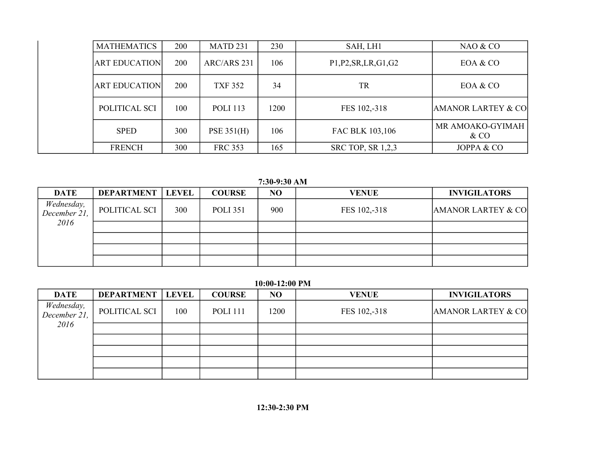| <b>MATHEMATICS</b>   | 200        | MATD <sub>231</sub> | 230  | SAH, LH1                                                                  | NAO & CO                      |
|----------------------|------------|---------------------|------|---------------------------------------------------------------------------|-------------------------------|
| <b>ART EDUCATION</b> | 200        | ARC/ARS 231         | 106  | P <sub>1</sub> , P <sub>2</sub> , SR, LR, G <sub>1</sub> , G <sub>2</sub> | EOA & CO                      |
| <b>ART EDUCATION</b> | 200        | <b>TXF 352</b>      | 34   | <b>TR</b>                                                                 | EOA & CO                      |
| POLITICAL SCI        | 100        | <b>POLI</b> 113     | 1200 | FES 102,-318                                                              | <b>AMANOR LARTEY &amp; CO</b> |
| <b>SPED</b>          | 300        | <b>PSE 351(H)</b>   | 106  | FAC BLK 103,106                                                           | MR AMOAKO-GYIMAH<br>$&\rm CO$ |
| <b>FRENCH</b>        | <b>300</b> | <b>FRC 353</b>      | 165  | <b>SRC TOP, SR 1,2,3</b>                                                  | JOPPA & CO                    |

**7:30-9:30 AM**

| <b>DATE</b>                | <b>DEPARTMENT</b> | <b>LEVEL</b> | <b>COURSE</b>   | NO  | <b>VENUE</b> | <b>INVIGILATORS</b>           |
|----------------------------|-------------------|--------------|-----------------|-----|--------------|-------------------------------|
| Wednesday,<br>December 21, | POLITICAL SCI     | 300          | <b>POLI 351</b> | 900 | FES 102,-318 | <b>AMANOR LARTEY &amp; CO</b> |
| 2016                       |                   |              |                 |     |              |                               |
|                            |                   |              |                 |     |              |                               |
|                            |                   |              |                 |     |              |                               |
|                            |                   |              |                 |     |              |                               |

**10:00-12:00 PM**

| <b>DATE</b>                | <b>DEPARTMENT</b> | <b>LEVEL</b> | <b>COURSE</b>   | N <sub>O</sub> | <b>VENUE</b> | <b>INVIGILATORS</b>           |
|----------------------------|-------------------|--------------|-----------------|----------------|--------------|-------------------------------|
| Wednesday,<br>December 21, | POLITICAL SCI     | 100          | <b>POLI</b> 111 | 1200           | FES 102,-318 | <b>AMANOR LARTEY &amp; CO</b> |
| 2016                       |                   |              |                 |                |              |                               |
|                            |                   |              |                 |                |              |                               |
|                            |                   |              |                 |                |              |                               |
|                            |                   |              |                 |                |              |                               |
|                            |                   |              |                 |                |              |                               |